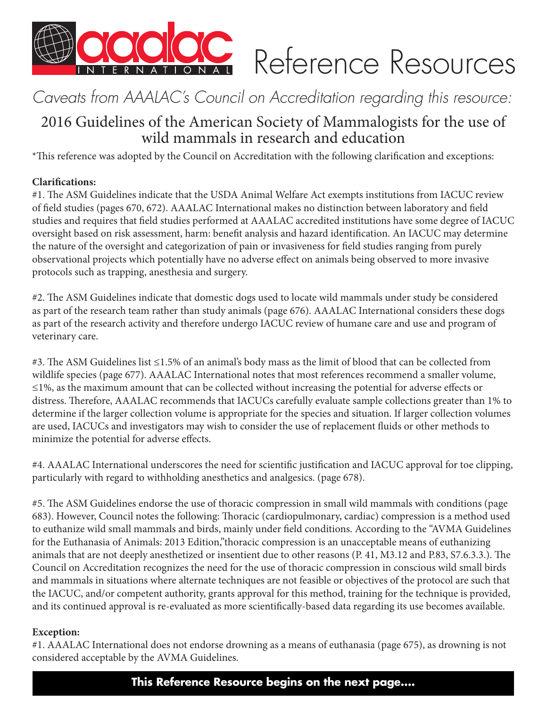

# Reference Resources

# *Caveats from AAALAC's Council on Accreditation regarding this resource:*

# 2016 Guidelines of the American Society of Mammalogists for the use of wild mammals in research and education

\*This reference was adopted by the Council on Accreditation with the following clarification and exceptions:

# **Clarifications:**

#1. The ASM Guidelines indicate that the USDA Animal Welfare Act exempts institutions from IACUC review of field studies (pages 670, 672). AAALAC International makes no distinction between laboratory and field studies and requires that field studies performed at AAALAC accredited institutions have some degree of IACUC oversight based on risk assessment, harm: benefit analysis and hazard identification. An IACUC may determine the nature of the oversight and categorization of pain or invasiveness for field studies ranging from purely observational projects which potentially have no adverse effect on animals being observed to more invasive protocols such as trapping, anesthesia and surgery.

#2. The ASM Guidelines indicate that domestic dogs used to locate wild mammals under study be considered as part of the research team rather than study animals (page 676). AAALAC International considers these dogs as part of the research activity and therefore undergo IACUC review of humane care and use and program of veterinary care.

#3. The ASM Guidelines list ≤1.5% of an animal's body mass as the limit of blood that can be collected from wildlife species (page 677). AAALAC International notes that most references recommend a smaller volume, ≤1%, as the maximum amount that can be collected without increasing the potential for adverse effects or distress. Therefore, AAALAC recommends that IACUCs carefully evaluate sample collections greater than 1% to determine if the larger collection volume is appropriate for the species and situation. If larger collection volumes are used, IACUCs and investigators may wish to consider the use of replacement fluids or other methods to minimize the potential for adverse effects.

#4. AAALAC International underscores the need for scientific justification and IACUC approval for toe clipping, particularly with regard to withholding anesthetics and analgesics. (page 678).

#5. The ASM Guidelines endorse the use of thoracic compression in small wild mammals with conditions (page 683). However, Council notes the following: Thoracic (cardiopulmonary, cardiac) compression is a method used to euthanize wild small mammals and birds, mainly under field conditions. According to the "AVMA Guidelines for the Euthanasia of Animals: 2013 Edition,"thoracic compression is an unacceptable means of euthanizing animals that are not deeply anesthetized or insentient due to other reasons (P. 41, M3.12 and P.83, S7.6.3.3.). The Council on Accreditation recognizes the need for the use of thoracic compression in conscious wild small birds and mammals in situations where alternate techniques are not feasible or objectives of the protocol are such that the IACUC, and/or competent authority, grants approval for this method, training for the technique is provided, and its continued approval is re-evaluated as more scientifically-based data regarding its use becomes available.

# **Exception:**

#1. AAALAC International does not endorse drowning as a means of euthanasia (page 675), as drowning is not considered acceptable by the AVMA Guidelines.

**This Reference Resource begins on the next page....**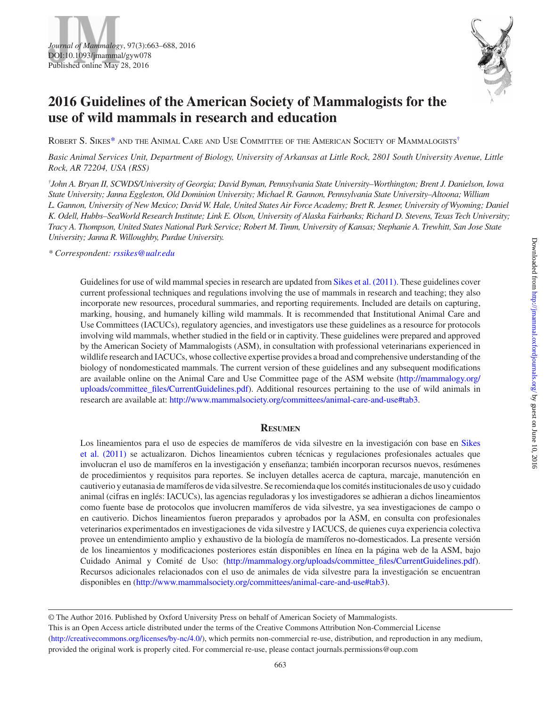



# **2016 Guidelines of the American Society of Mammalogists for the use of wild mammals in research and education**

Robert S. Sikes[\\*](#page-1-0) and the Animal Care and Use Committee of the American Society of Mammalogists[†](#page-1-1)

*Basic Animal Services Unit, Department of Biology, University of Arkansas at Little Rock, 2801 South University Avenue, Little Rock, AR 72204, USA (RSS)*

<span id="page-1-1"></span>*† John A. Bryan II, SCWDS/University of Georgia; David Byman, Pennsylvania State University–Worthington; Brent J. Danielson, Iowa State University; Janna Eggleston, Old Dominion University; Michael R. Gannon, Pennsylvania State University–Altoona; William L. Gannon, University of New Mexico; David W. Hale, United States Air Force Academy; Brett R. Jesmer, University of Wyoming; Daniel K. Odell, Hubbs–SeaWorld Research Institute; Link E. Olson, University of Alaska Fairbanks; Richard D. Stevens, Texas Tech University; Tracy A. Thompson, United States National Park Service; Robert M. Timm, University of Kansas; Stephanie A. Trewhitt, San Jose State University; Janna R. Willoughby, Purdue University.*

<span id="page-1-0"></span>*\* Correspondent: [rssikes@ualr.edu](mailto:rssikes@ualr.edu?subject=)*

Guidelines for use of wild mammal species in research are updated from Sikes et [al. \(2011\).](#page-25-0) These guidelines cover current professional techniques and regulations involving the use of mammals in research and teaching; they also incorporate new resources, procedural summaries, and reporting requirements. Included are details on capturing, marking, housing, and humanely killing wild mammals. It is recommended that Institutional Animal Care and Use Committees (IACUCs), regulatory agencies, and investigators use these guidelines as a resource for protocols involving wild mammals, whether studied in the field or in captivity. These guidelines were prepared and approved by the American Society of Mammalogists (ASM), in consultation with professional veterinarians experienced in wildlife research and IACUCs, whose collective expertise provides a broad and comprehensive understanding of the biology of nondomesticated mammals. The current version of these guidelines and any subsequent modifications are available online on the Animal Care and Use Committee page of the ASM website [\(http://mammalogy.org/](http://mammalogy.org/uploads/committee_files/CurrentGuidelines.pdf) [uploads/committee\\_files/CurrentGuidelines.pdf](http://mammalogy.org/uploads/committee_files/CurrentGuidelines.pdf)). Additional resources pertaining to the use of wild animals in research are available at: [http://www.mammalsociety.org/committees/animal-care-and-use#tab3.](http://www.mammalsociety.org/committees/animal-care-and-use#tab3)

# **Resumen**

Los lineamientos para el uso de especies de mamíferos de vida silvestre en la investigación con base en [Sikes](#page-25-0)  et [al. \(2011\)](#page-25-0) se actualizaron. Dichos lineamientos cubren técnicas y regulaciones profesionales actuales que involucran el uso de mamíferos en la investigación y enseñanza; también incorporan recursos nuevos, resúmenes de procedimientos y requisitos para reportes. Se incluyen detalles acerca de captura, marcaje, manutención en cautiverio y eutanasia de mamíferos de vida silvestre. Se recomienda que los comités institucionales de uso y cuidado animal (cifras en inglés: IACUCs), las agencias reguladoras y los investigadores se adhieran a dichos lineamientos como fuente base de protocolos que involucren mamíferos de vida silvestre, ya sea investigaciones de campo o en cautiverio. Dichos lineamientos fueron preparados y aprobados por la ASM, en consulta con profesionales veterinarios experimentados en investigaciones de vida silvestre y IACUCS, de quienes cuya experiencia colectiva provee un entendimiento amplio y exhaustivo de la biología de mamíferos no-domesticados. La presente versión de los lineamientos y modificaciones posteriores están disponibles en línea en la página web de la ASM, bajo Cuidado Animal y Comité de Uso: (http://mammalogy.org/uploads/committee files/CurrentGuidelines.pdf). Recursos adicionales relacionados con el uso de animales de vida silvestre para la investigación se encuentran disponibles en ([http://www.mammalsociety.org/committees/animal-care-and-use#tab3\)](http://www.mammalsociety.org/committees/animal-care-and-use#tab3).

© The Author 2016. Published by Oxford University Press on behalf of American Society of Mammalogists.

This is an Open Access article distributed under the terms of the Creative Commons Attribution Non-Commercial License

[\(http://creativecommons.org/licenses/by-nc/4.0/](http://creativecommons.org/licenses/by-nc/4.0/)), which permits non-commercial re-use, distribution, and reproduction in any medium, provided the original work is properly cited. For commercial re-use, please contact journals.permissions@oup.com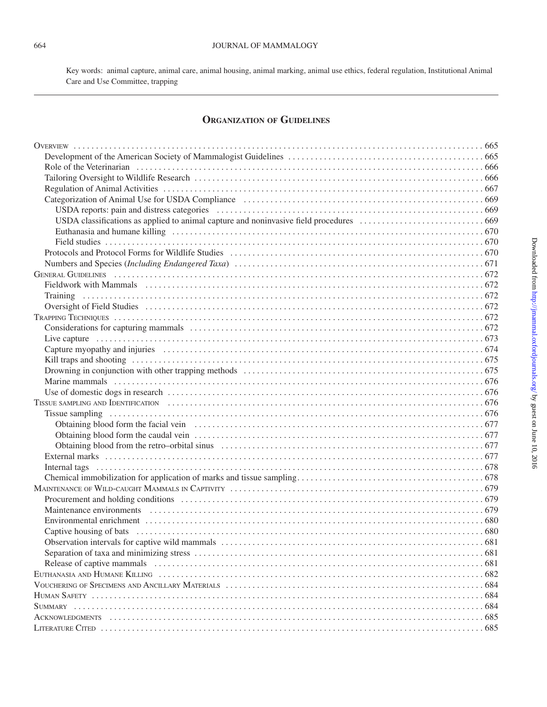Key words: animal capture, animal care, animal housing, animal marking, animal use ethics, federal regulation, Institutional Animal Care and Use Committee, trapping

# **Organization of Guidelines**

| Capture myopathy and injuries exclude the contract of the contract of the contract of the contract of the control of the contract of the contract of the contract of the contract of the contract of the contract of the contr |  |
|--------------------------------------------------------------------------------------------------------------------------------------------------------------------------------------------------------------------------------|--|
|                                                                                                                                                                                                                                |  |
|                                                                                                                                                                                                                                |  |
|                                                                                                                                                                                                                                |  |
|                                                                                                                                                                                                                                |  |
|                                                                                                                                                                                                                                |  |
|                                                                                                                                                                                                                                |  |
|                                                                                                                                                                                                                                |  |
|                                                                                                                                                                                                                                |  |
|                                                                                                                                                                                                                                |  |
|                                                                                                                                                                                                                                |  |
|                                                                                                                                                                                                                                |  |
|                                                                                                                                                                                                                                |  |
|                                                                                                                                                                                                                                |  |
|                                                                                                                                                                                                                                |  |
|                                                                                                                                                                                                                                |  |
|                                                                                                                                                                                                                                |  |
|                                                                                                                                                                                                                                |  |
|                                                                                                                                                                                                                                |  |
|                                                                                                                                                                                                                                |  |
|                                                                                                                                                                                                                                |  |
|                                                                                                                                                                                                                                |  |
|                                                                                                                                                                                                                                |  |
|                                                                                                                                                                                                                                |  |
|                                                                                                                                                                                                                                |  |
|                                                                                                                                                                                                                                |  |
|                                                                                                                                                                                                                                |  |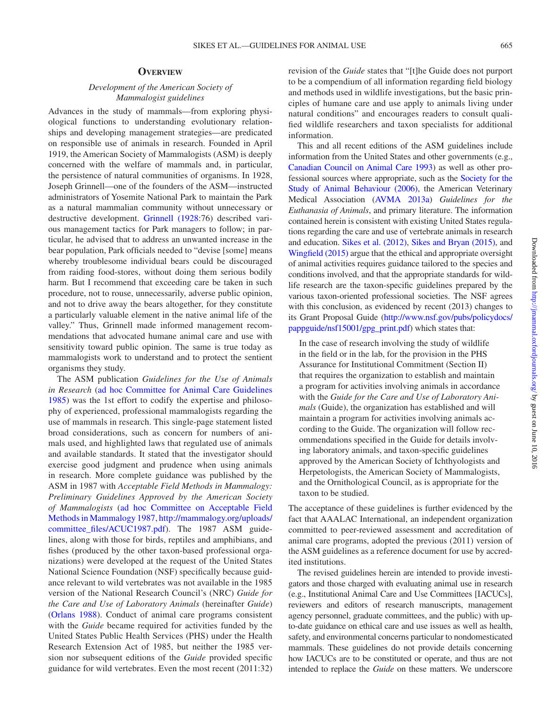#### **Overview**

# *Development of the American Society of Mammalogist guidelines*

Advances in the study of mammals—from exploring physiological functions to understanding evolutionary relationships and developing management strategies—are predicated on responsible use of animals in research. Founded in April 1919, the American Society of Mammalogists (ASM) is deeply concerned with the welfare of mammals and, in particular, the persistence of natural communities of organisms. In 1928, Joseph Grinnell—one of the founders of the ASM—instructed administrators of Yosemite National Park to maintain the Park as a natural mammalian community without unnecessary or destructive development. [Grinnell \(1928](#page-24-0):76) described various management tactics for Park managers to follow; in particular, he advised that to address an unwanted increase in the bear population, Park officials needed to "devise [some] means whereby troublesome individual bears could be discouraged from raiding food-stores, without doing them serious bodily harm. But I recommend that exceeding care be taken in such procedure, not to rouse, unnecessarily, adverse public opinion, and not to drive away the bears altogether, for they constitute a particularly valuable element in the native animal life of the valley." Thus, Grinnell made informed management recommendations that advocated humane animal care and use with sensitivity toward public opinion. The same is true today as mammalogists work to understand and to protect the sentient organisms they study.

The ASM publication *Guidelines for the Use of Animals in Research* ([ad hoc Committee for Animal Care Guidelines](#page-23-0)  [1985](#page-23-0)) was the 1st effort to codify the expertise and philosophy of experienced, professional mammalogists regarding the use of mammals in research. This single-page statement listed broad considerations, such as concern for numbers of animals used, and highlighted laws that regulated use of animals and available standards. It stated that the investigator should exercise good judgment and prudence when using animals in research. More complete guidance was published by the ASM in 1987 with *Acceptable Field Methods in Mammalogy: Preliminary Guidelines Approved by the American Society of Mammalogists* ([ad hoc Committee on Acceptable Field](#page-23-1) [Methods in Mammalogy 1987,](#page-23-1) [http://mammalogy.org/uploads/](http://mammalogy.org/uploads/committee_files/ACUC1987.pdf) [committee\\_files/ACUC1987.pdf](http://mammalogy.org/uploads/committee_files/ACUC1987.pdf)). The 1987 ASM guidelines, along with those for birds, reptiles and amphibians, and fishes (produced by the other taxon-based professional organizations) were developed at the request of the United States National Science Foundation (NSF) specifically because guidance relevant to wild vertebrates was not available in the 1985 version of the National Research Council's (NRC) *Guide for the Care and Use of Laboratory Animals* (hereinafter *Guide*) [\(Orlans 1988\)](#page-25-1). Conduct of animal care programs consistent with the *Guide* became required for activities funded by the United States Public Health Services (PHS) under the Health Research Extension Act of 1985, but neither the 1985 version nor subsequent editions of the *Guide* provided specific guidance for wild vertebrates. Even the most recent (2011:32) revision of the *Guide* states that "[t]he Guide does not purport to be a compendium of all information regarding field biology and methods used in wildlife investigations, but the basic principles of humane care and use apply to animals living under natural conditions" and encourages readers to consult qualified wildlife researchers and taxon specialists for additional information.

This and all recent editions of the ASM guidelines include information from the United States and other governments (e.g., [Canadian Council on Animal Care 1993](#page-24-1)) as well as other professional sources where appropriate, such as the [Society for the](#page-25-2) [Study of Animal Behaviour \(2006\),](#page-25-2) the American Veterinary Medical Association [\(AVMA 2013a\)](#page-23-2) *Guidelines for the Euthanasia of Animals*, and primary literature. The information contained herein is consistent with existing United States regulations regarding the care and use of vertebrate animals in research and education. Sikes et [al. \(2012\)](#page-25-3), [Sikes and Bryan \(2015\)](#page-25-4), and [Wingfield \(2015\)](#page-26-0) argue that the ethical and appropriate oversight of animal activities requires guidance tailored to the species and conditions involved, and that the appropriate standards for wildlife research are the taxon-specific guidelines prepared by the various taxon-oriented professional societies. The NSF agrees with this conclusion, as evidenced by recent (2013) changes to its Grant Proposal Guide [\(http://www.nsf.gov/pubs/policydocs/](http://www.nsf.gov/pubs/policydocs/pappguide/nsf15001/gpg_print.pdf) [pappguide/nsf15001/gpg\\_print.pdf\)](http://www.nsf.gov/pubs/policydocs/pappguide/nsf15001/gpg_print.pdf) which states that:

In the case of research involving the study of wildlife in the field or in the lab, for the provision in the PHS Assurance for Institutional Commitment (Section II) that requires the organization to establish and maintain a program for activities involving animals in accordance with the *Guide for the Care and Use of Laboratory Animals* (Guide), the organization has established and will maintain a program for activities involving animals according to the Guide. The organization will follow recommendations specified in the Guide for details involving laboratory animals, and taxon-specific guidelines approved by the American Society of Ichthyologists and Herpetologists, the American Society of Mammalogists, and the Ornithological Council, as is appropriate for the taxon to be studied.

The acceptance of these guidelines is further evidenced by the fact that AAALAC International, an independent organization committed to peer-reviewed assessment and accreditation of animal care programs, adopted the previous (2011) version of the ASM guidelines as a reference document for use by accredited institutions.

The revised guidelines herein are intended to provide investigators and those charged with evaluating animal use in research (e.g., Institutional Animal Care and Use Committees [IACUCs], reviewers and editors of research manuscripts, management agency personnel, graduate committees, and the public) with upto-date guidance on ethical care and use issues as well as health, safety, and environmental concerns particular to nondomesticated mammals. These guidelines do not provide details concerning how IACUCs are to be constituted or operate, and thus are not intended to replace the *Guide* on these matters. We underscore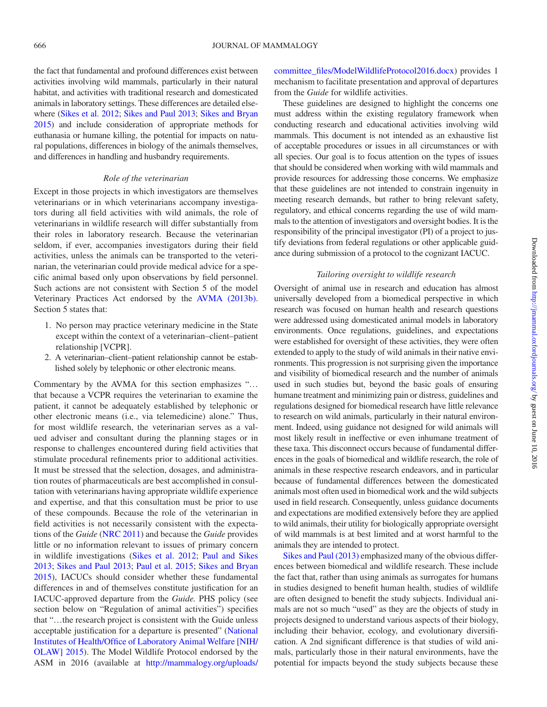the fact that fundamental and profound differences exist between activities involving wild mammals, particularly in their natural habitat, and activities with traditional research and domesticated animals in laboratory settings. These differences are detailed elsewhere (Sikes et [al. 2012](#page-25-3); [Sikes and Paul 2013;](#page-25-5) [Sikes and Bryan](#page-25-4) [2015](#page-25-4)) and include consideration of appropriate methods for euthanasia or humane killing, the potential for impacts on natural populations, differences in biology of the animals themselves, and differences in handling and husbandry requirements.

#### *Role of the veterinarian*

Except in those projects in which investigators are themselves veterinarians or in which veterinarians accompany investigators during all field activities with wild animals, the role of veterinarians in wildlife research will differ substantially from their roles in laboratory research. Because the veterinarian seldom, if ever, accompanies investigators during their field activities, unless the animals can be transported to the veterinarian, the veterinarian could provide medical advice for a specific animal based only upon observations by field personnel. Such actions are not consistent with Section 5 of the model Veterinary Practices Act endorsed by the [AVMA \(2013b\)](#page-24-2). Section 5 states that:

- 1. No person may practice veterinary medicine in the State except within the context of a veterinarian–client–patient relationship [VCPR].
- 2. A veterinarian–client–patient relationship cannot be established solely by telephonic or other electronic means.

Commentary by the AVMA for this section emphasizes "… that because a VCPR requires the veterinarian to examine the patient, it cannot be adequately established by telephonic or other electronic means (i.e., via telemedicine) alone." Thus, for most wildlife research, the veterinarian serves as a valued adviser and consultant during the planning stages or in response to challenges encountered during field activities that stimulate procedural refinements prior to additional activities. It must be stressed that the selection, dosages, and administration routes of pharmaceuticals are best accomplished in consultation with veterinarians having appropriate wildlife experience and expertise, and that this consultation must be prior to use of these compounds. Because the role of the veterinarian in field activities is not necessarily consistent with the expectations of the *Guide* ([NRC 2011](#page-25-6)) and because the *Guide* provides little or no information relevant to issues of primary concern in wildlife investigations (Sikes et [al. 2012;](#page-25-3) [Paul and Sikes](#page-25-7) [2013](#page-25-7); [Sikes and Paul 2013;](#page-25-5) Paul et [al. 2015](#page-25-8); [Sikes and Bryan](#page-25-4)  [2015\)](#page-25-4), IACUCs should consider whether these fundamental differences in and of themselves constitute justification for an IACUC-approved departure from the *Guide.* PHS policy (see section below on "Regulation of animal activities") specifies that "…the research project is consistent with the Guide unless acceptable justification for a departure is presented" ([National](#page-25-9)  [Institutes of Health/Office of Laboratory Animal Welfare \[NIH/](#page-25-9) [OLAW\] 2015\)](#page-25-9). The Model Wildlife Protocol endorsed by the ASM in 2016 (available at [http://mammalogy.org/uploads/](http://mammalogy.org/uploads/committee_files/ModelWildlifeProtocol2016.docx) [committee\\_files/ModelWildlifeProtocol2016.docx\)](http://mammalogy.org/uploads/committee_files/ModelWildlifeProtocol2016.docx) provides 1 mechanism to facilitate presentation and approval of departures from the *Guide* for wildlife activities.

These guidelines are designed to highlight the concerns one must address within the existing regulatory framework when conducting research and educational activities involving wild mammals. This document is not intended as an exhaustive list of acceptable procedures or issues in all circumstances or with all species. Our goal is to focus attention on the types of issues that should be considered when working with wild mammals and provide resources for addressing those concerns. We emphasize that these guidelines are not intended to constrain ingenuity in meeting research demands, but rather to bring relevant safety, regulatory, and ethical concerns regarding the use of wild mammals to the attention of investigators and oversight bodies. It is the responsibility of the principal investigator (PI) of a project to justify deviations from federal regulations or other applicable guidance during submission of a protocol to the cognizant IACUC.

## *Tailoring oversight to wildlife research*

Oversight of animal use in research and education has almost universally developed from a biomedical perspective in which research was focused on human health and research questions were addressed using domesticated animal models in laboratory environments. Once regulations, guidelines, and expectations were established for oversight of these activities, they were often extended to apply to the study of wild animals in their native environments. This progression is not surprising given the importance and visibility of biomedical research and the number of animals used in such studies but, beyond the basic goals of ensuring humane treatment and minimizing pain or distress, guidelines and regulations designed for biomedical research have little relevance to research on wild animals, particularly in their natural environment. Indeed, using guidance not designed for wild animals will most likely result in ineffective or even inhumane treatment of these taxa. This disconnect occurs because of fundamental differences in the goals of biomedical and wildlife research, the role of animals in these respective research endeavors, and in particular because of fundamental differences between the domesticated animals most often used in biomedical work and the wild subjects used in field research. Consequently, unless guidance documents and expectations are modified extensively before they are applied to wild animals, their utility for biologically appropriate oversight of wild mammals is at best limited and at worst harmful to the animals they are intended to protect.

[Sikes and Paul \(2013\)](#page-25-5) emphasized many of the obvious differences between biomedical and wildlife research. These include the fact that, rather than using animals as surrogates for humans in studies designed to benefit human health, studies of wildlife are often designed to benefit the study subjects. Individual animals are not so much "used" as they are the objects of study in projects designed to understand various aspects of their biology, including their behavior, ecology, and evolutionary diversification. A 2nd significant difference is that studies of wild animals, particularly those in their natural environments, have the potential for impacts beyond the study subjects because these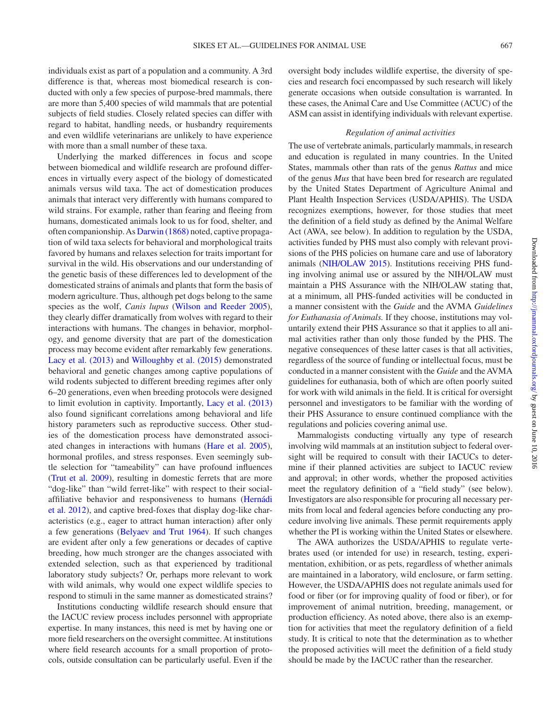individuals exist as part of a population and a community. A 3rd difference is that, whereas most biomedical research is conducted with only a few species of purpose-bred mammals, there are more than 5,400 species of wild mammals that are potential subjects of field studies. Closely related species can differ with regard to habitat, handling needs, or husbandry requirements and even wildlife veterinarians are unlikely to have experience with more than a small number of these taxa.

Underlying the marked differences in focus and scope between biomedical and wildlife research are profound differences in virtually every aspect of the biology of domesticated animals versus wild taxa. The act of domestication produces animals that interact very differently with humans compared to wild strains. For example, rather than fearing and fleeing from humans, domesticated animals look to us for food, shelter, and often companionship. As [Darwin \(1868\)](#page-24-3) noted, captive propagation of wild taxa selects for behavioral and morphological traits favored by humans and relaxes selection for traits important for survival in the wild. His observations and our understanding of the genetic basis of these differences led to development of the domesticated strains of animals and plants that form the basis of modern agriculture. Thus, although pet dogs belong to the same species as the wolf, *Canis lupus* [\(Wilson and Reeder 2005](#page-26-1)), they clearly differ dramatically from wolves with regard to their interactions with humans. The changes in behavior, morphology, and genome diversity that are part of the domestication process may become evident after remarkably few generations. Lacy et [al. \(2013\)](#page-25-10) and [Willoughby et](#page-26-2) al. (2015) demonstrated behavioral and genetic changes among captive populations of wild rodents subjected to different breeding regimes after only 6–20 generations, even when breeding protocols were designed to limit evolution in captivity. Importantly, Lacy et [al. \(2013\)](#page-25-10) also found significant correlations among behavioral and life history parameters such as reproductive success. Other studies of the domestication process have demonstrated associated changes in interactions with humans (Hare et [al. 2005](#page-24-4)), hormonal profiles, and stress responses. Even seemingly subtle selection for "tameability" can have profound influences (Trut et [al. 2009\)](#page-25-11), resulting in domestic ferrets that are more "dog-like" than "wild ferret-like" with respect to their socialaffiliative behavior and responsiveness to humans ([Hernádi](#page-24-5)  et [al. 2012\)](#page-24-5), and captive bred-foxes that display dog-like characteristics (e.g., eager to attract human interaction) after only a few generations ([Belyaev and Trut 1964](#page-24-6)). If such changes are evident after only a few generations or decades of captive breeding, how much stronger are the changes associated with extended selection, such as that experienced by traditional laboratory study subjects? Or, perhaps more relevant to work with wild animals, why would one expect wildlife species to respond to stimuli in the same manner as domesticated strains?

Institutions conducting wildlife research should ensure that the IACUC review process includes personnel with appropriate expertise. In many instances, this need is met by having one or more field researchers on the oversight committee. At institutions where field research accounts for a small proportion of protocols, outside consultation can be particularly useful. Even if the oversight body includes wildlife expertise, the diversity of species and research foci encompassed by such research will likely generate occasions when outside consultation is warranted. In these cases, the Animal Care and Use Committee (ACUC) of the ASM can assist in identifying individuals with relevant expertise.

#### *Regulation of animal activities*

The use of vertebrate animals, particularly mammals, in research and education is regulated in many countries. In the United States, mammals other than rats of the genus *Rattus* and mice of the genus *Mus* that have been bred for research are regulated by the United States Department of Agriculture Animal and Plant Health Inspection Services (USDA/APHIS). The USDA recognizes exemptions, however, for those studies that meet the definition of a field study as defined by the Animal Welfare Act (AWA, see below). In addition to regulation by the USDA, activities funded by PHS must also comply with relevant provisions of the PHS policies on humane care and use of laboratory animals ([NIH/OLAW 2015](#page-25-9)). Institutions receiving PHS funding involving animal use or assured by the NIH/OLAW must maintain a PHS Assurance with the NIH/OLAW stating that, at a minimum, all PHS-funded activities will be conducted in a manner consistent with the *Guide* and the AVMA *Guidelines for Euthanasia of Animals.* If they choose, institutions may voluntarily extend their PHS Assurance so that it applies to all animal activities rather than only those funded by the PHS. The negative consequences of these latter cases is that all activities, regardless of the source of funding or intellectual focus, must be conducted in a manner consistent with the *Guide* and the AVMA guidelines for euthanasia, both of which are often poorly suited for work with wild animals in the field. It is critical for oversight personnel and investigators to be familiar with the wording of their PHS Assurance to ensure continued compliance with the regulations and policies covering animal use.

Mammalogists conducting virtually any type of research involving wild mammals at an institution subject to federal oversight will be required to consult with their IACUCs to determine if their planned activities are subject to IACUC review and approval; in other words, whether the proposed activities meet the regulatory definition of a "field study" (see below). Investigators are also responsible for procuring all necessary permits from local and federal agencies before conducting any procedure involving live animals. These permit requirements apply whether the PI is working within the United States or elsewhere.

The AWA authorizes the USDA/APHIS to regulate vertebrates used (or intended for use) in research, testing, experimentation, exhibition, or as pets, regardless of whether animals are maintained in a laboratory, wild enclosure, or farm setting. However, the USDA/APHIS does not regulate animals used for food or fiber (or for improving quality of food or fiber), or for improvement of animal nutrition, breeding, management, or production efficiency. As noted above, there also is an exemption for activities that meet the regulatory definition of a field study. It is critical to note that the determination as to whether the proposed activities will meet the definition of a field study should be made by the IACUC rather than the researcher.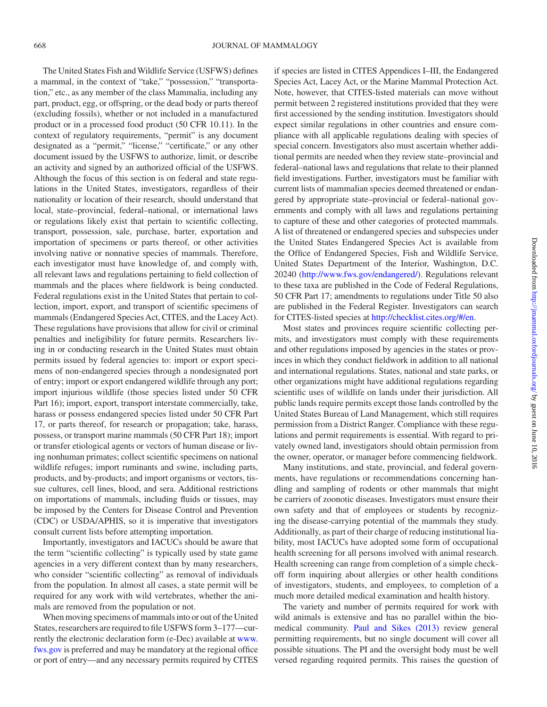The United States Fish and Wildlife Service (USFWS) defines a mammal, in the context of "take," "possession," "transportation," etc., as any member of the class Mammalia, including any part, product, egg, or offspring, or the dead body or parts thereof (excluding fossils), whether or not included in a manufactured product or in a processed food product (50 CFR 10.11). In the context of regulatory requirements, "permit" is any document designated as a "permit," "license," "certificate," or any other document issued by the USFWS to authorize, limit, or describe an activity and signed by an authorized official of the USFWS. Although the focus of this section is on federal and state regulations in the United States, investigators, regardless of their nationality or location of their research, should understand that local, state–provincial, federal–national, or international laws or regulations likely exist that pertain to scientific collecting, transport, possession, sale, purchase, barter, exportation and importation of specimens or parts thereof, or other activities involving native or nonnative species of mammals. Therefore, each investigator must have knowledge of, and comply with, all relevant laws and regulations pertaining to field collection of mammals and the places where fieldwork is being conducted. Federal regulations exist in the United States that pertain to collection, import, export, and transport of scientific specimens of mammals (Endangered Species Act, CITES, and the Lacey Act). These regulations have provisions that allow for civil or criminal penalties and ineligibility for future permits. Researchers living in or conducting research in the United States must obtain permits issued by federal agencies to: import or export specimens of non-endangered species through a nondesignated port of entry; import or export endangered wildlife through any port; import injurious wildlife (those species listed under 50 CFR Part 16); import, export, transport interstate commercially, take, harass or possess endangered species listed under 50 CFR Part 17, or parts thereof, for research or propagation; take, harass, possess, or transport marine mammals (50 CFR Part 18); import or transfer etiological agents or vectors of human disease or living nonhuman primates; collect scientific specimens on national wildlife refuges; import ruminants and swine, including parts, products, and by-products; and import organisms or vectors, tissue cultures, cell lines, blood, and sera. Additional restrictions on importations of mammals, including fluids or tissues, may be imposed by the Centers for Disease Control and Prevention (CDC) or USDA/APHIS, so it is imperative that investigators consult current lists before attempting importation.

Importantly, investigators and IACUCs should be aware that the term "scientific collecting" is typically used by state game agencies in a very different context than by many researchers, who consider "scientific collecting" as removal of individuals from the population. In almost all cases, a state permit will be required for any work with wild vertebrates, whether the animals are removed from the population or not.

When moving specimens of mammals into or out of the United States, researchers are required to file USFWS form 3–177—currently the electronic declaration form (e-Dec) available at [www.](http://www.fws.gov) [fws.gov](http://www.fws.gov) is preferred and may be mandatory at the regional office or port of entry—and any necessary permits required by CITES if species are listed in CITES Appendices I–III, the Endangered Species Act, Lacey Act, or the Marine Mammal Protection Act. Note, however, that CITES-listed materials can move without permit between 2 registered institutions provided that they were first accessioned by the sending institution. Investigators should expect similar regulations in other countries and ensure compliance with all applicable regulations dealing with species of special concern. Investigators also must ascertain whether additional permits are needed when they review state–provincial and federal–national laws and regulations that relate to their planned field investigations. Further, investigators must be familiar with current lists of mammalian species deemed threatened or endangered by appropriate state–provincial or federal–national governments and comply with all laws and regulations pertaining to capture of these and other categories of protected mammals. A list of threatened or endangered species and subspecies under the United States Endangered Species Act is available from the Office of Endangered Species, Fish and Wildlife Service, United States Department of the Interior, Washington, D.C. 20240 [\(http://www.fws.gov/endangered/\)](http://www.fws.gov/endangered/). Regulations relevant to these taxa are published in the Code of Federal Regulations, 50 CFR Part 17; amendments to regulations under Title 50 also are published in the Federal Register. Investigators can search for CITES-listed species at [http://checklist.cites.org/#/en.](http://checklist.cites.org/#/en)

Most states and provinces require scientific collecting permits, and investigators must comply with these requirements and other regulations imposed by agencies in the states or provinces in which they conduct fieldwork in addition to all national and international regulations. States, national and state parks, or other organizations might have additional regulations regarding scientific uses of wildlife on lands under their jurisdiction. All public lands require permits except those lands controlled by the United States Bureau of Land Management, which still requires permission from a District Ranger. Compliance with these regulations and permit requirements is essential. With regard to privately owned land, investigators should obtain permission from the owner, operator, or manager before commencing fieldwork.

Many institutions, and state, provincial, and federal governments, have regulations or recommendations concerning handling and sampling of rodents or other mammals that might be carriers of zoonotic diseases. Investigators must ensure their own safety and that of employees or students by recognizing the disease-carrying potential of the mammals they study. Additionally, as part of their charge of reducing institutional liability, most IACUCs have adopted some form of occupational health screening for all persons involved with animal research. Health screening can range from completion of a simple checkoff form inquiring about allergies or other health conditions of investigators, students, and employees, to completion of a much more detailed medical examination and health history.

The variety and number of permits required for work with wild animals is extensive and has no parallel within the biomedical community. [Paul and Sikes \(2013\)](#page-25-7) review general permitting requirements, but no single document will cover all possible situations. The PI and the oversight body must be well versed regarding required permits. This raises the question of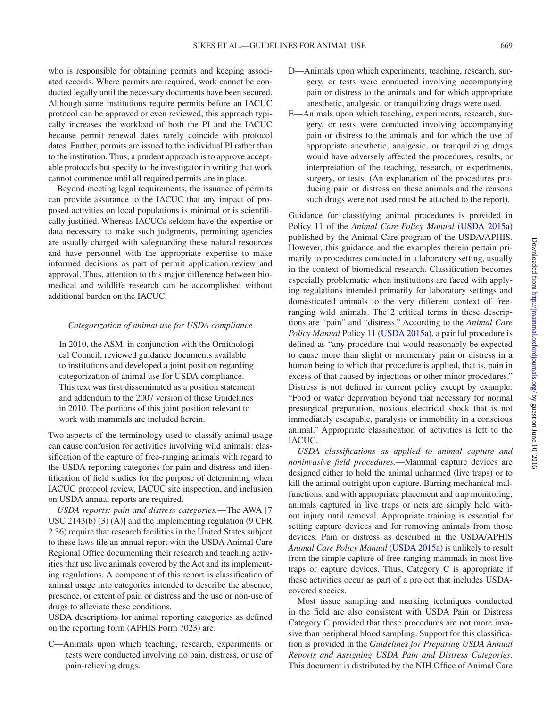who is responsible for obtaining permits and keeping associated records. Where permits are required, work cannot be conducted legally until the necessary documents have been secured. Although some institutions require permits before an IACUC protocol can be approved or even reviewed, this approach typically increases the workload of both the PI and the IACUC because permit renewal dates rarely coincide with protocol dates. Further, permits are issued to the individual PI rather than to the institution. Thus, a prudent approach is to approve acceptable protocols but specify to the investigator in writing that work cannot commence until all required permits are in place.

Beyond meeting legal requirements, the issuance of permits can provide assurance to the IACUC that any impact of proposed activities on local populations is minimal or is scientifically justified. Whereas IACUCs seldom have the expertise or data necessary to make such judgments, permitting agencies are usually charged with safeguarding these natural resources and have personnel with the appropriate expertise to make informed decisions as part of permit application review and approval. Thus, attention to this major difference between biomedical and wildlife research can be accomplished without additional burden on the IACUC.

#### *Categorization of animal use for USDA compliance*

In 2010, the ASM, in conjunction with the Ornithological Council, reviewed guidance documents available to institutions and developed a joint position regarding categorization of animal use for USDA compliance. This text was first disseminated as a position statement and addendum to the 2007 version of these Guidelines in 2010. The portions of this joint position relevant to work with mammals are included herein.

Two aspects of the terminology used to classify animal usage can cause confusion for activities involving wild animals: classification of the capture of free-ranging animals with regard to the USDA reporting categories for pain and distress and identification of field studies for the purpose of determining when IACUC protocol review, IACUC site inspection, and inclusion on USDA annual reports are required.

*USDA reports: pain and distress categories.*—The AWA [7 USC 2143(b) (3) (A)] and the implementing regulation (9 CFR 2.36) require that research facilities in the United States subject to these laws file an annual report with the USDA Animal Care Regional Office documenting their research and teaching activities that use live animals covered by the Act and its implementing regulations. A component of this report is classification of animal usage into categories intended to describe the absence, presence, or extent of pain or distress and the use or non-use of drugs to alleviate these conditions.

USDA descriptions for animal reporting categories as defined on the reporting form (APHIS Form 7023) are:

C—Animals upon which teaching, research, experiments or tests were conducted involving no pain, distress, or use of pain-relieving drugs.

- D—Animals upon which experiments, teaching, research, surgery, or tests were conducted involving accompanying pain or distress to the animals and for which appropriate anesthetic, analgesic, or tranquilizing drugs were used.
- E—Animals upon which teaching, experiments, research, surgery, or tests were conducted involving accompanying pain or distress to the animals and for which the use of appropriate anesthetic, analgesic, or tranquilizing drugs would have adversely affected the procedures, results, or interpretation of the teaching, research, or experiments, surgery, or tests. (An explanation of the procedures producing pain or distress on these animals and the reasons such drugs were not used must be attached to the report).

Guidance for classifying animal procedures is provided in Policy 11 of the *Animal Care Policy Manual* ([USDA 2015a\)](#page-25-12) published by the Animal Care program of the USDA/APHIS. However, this guidance and the examples therein pertain primarily to procedures conducted in a laboratory setting, usually in the context of biomedical research. Classification becomes especially problematic when institutions are faced with applying regulations intended primarily for laboratory settings and domesticated animals to the very different context of freeranging wild animals. The 2 critical terms in these descriptions are "pain" and "distress." According to the *Animal Care Policy Manual* Policy 11 [\(USDA 2015a\)](#page-25-12), a painful procedure is defined as "any procedure that would reasonably be expected to cause more than slight or momentary pain or distress in a human being to which that procedure is applied, that is, pain in excess of that caused by injections or other minor procedures." Distress is not defined in current policy except by example: "Food or water deprivation beyond that necessary for normal presurgical preparation, noxious electrical shock that is not immediately escapable, paralysis or immobility in a conscious animal." Appropriate classification of activities is left to the IACUC.

*USDA classifications as applied to animal capture and noninvasive field procedures.*—Mammal capture devices are designed either to hold the animal unharmed (live traps) or to kill the animal outright upon capture. Barring mechanical malfunctions, and with appropriate placement and trap monitoring, animals captured in live traps or nets are simply held without injury until removal. Appropriate training is essential for setting capture devices and for removing animals from those devices. Pain or distress as described in the USDA/APHIS *Animal Care Policy Manual* [\(USDA 2015a\)](#page-25-12) is unlikely to result from the simple capture of free-ranging mammals in most live traps or capture devices. Thus, Category C is appropriate if these activities occur as part of a project that includes USDAcovered species.

Most tissue sampling and marking techniques conducted in the field are also consistent with USDA Pain or Distress Category C provided that these procedures are not more invasive than peripheral blood sampling. Support for this classification is provided in the *Guidelines for Preparing USDA Annual Reports and Assigning USDA Pain and Distress Categories*. This document is distributed by the NIH Office of Animal Care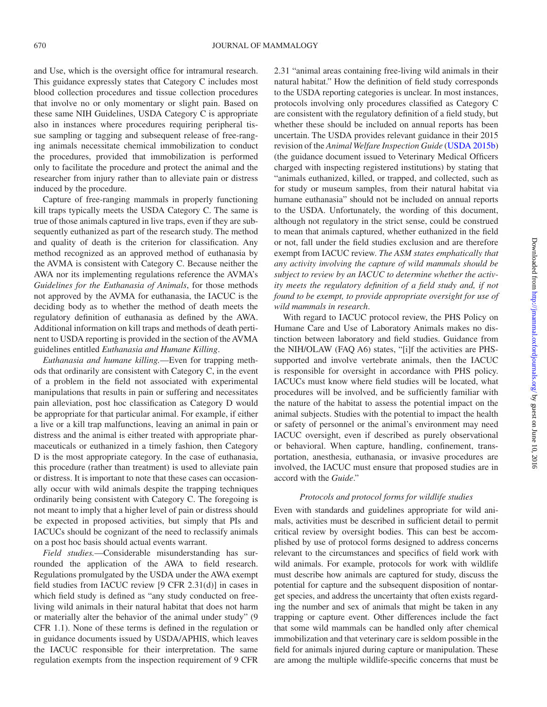and Use, which is the oversight office for intramural research. This guidance expressly states that Category C includes most blood collection procedures and tissue collection procedures that involve no or only momentary or slight pain. Based on these same NIH Guidelines, USDA Category C is appropriate also in instances where procedures requiring peripheral tissue sampling or tagging and subsequent release of free-ranging animals necessitate chemical immobilization to conduct the procedures, provided that immobilization is performed only to facilitate the procedure and protect the animal and the researcher from injury rather than to alleviate pain or distress induced by the procedure.

Capture of free-ranging mammals in properly functioning kill traps typically meets the USDA Category C. The same is true of those animals captured in live traps, even if they are subsequently euthanized as part of the research study. The method and quality of death is the criterion for classification. Any method recognized as an approved method of euthanasia by the AVMA is consistent with Category C. Because neither the AWA nor its implementing regulations reference the AVMA's *Guidelines for the Euthanasia of Animals*, for those methods not approved by the AVMA for euthanasia, the IACUC is the deciding body as to whether the method of death meets the regulatory definition of euthanasia as defined by the AWA. Additional information on kill traps and methods of death pertinent to USDA reporting is provided in the section of the AVMA guidelines entitled *Euthanasia and Humane Killing*.

*Euthanasia and humane killing.*—Even for trapping methods that ordinarily are consistent with Category C, in the event of a problem in the field not associated with experimental manipulations that results in pain or suffering and necessitates pain alleviation, post hoc classification as Category D would be appropriate for that particular animal. For example, if either a live or a kill trap malfunctions, leaving an animal in pain or distress and the animal is either treated with appropriate pharmaceuticals or euthanized in a timely fashion, then Category D is the most appropriate category. In the case of euthanasia, this procedure (rather than treatment) is used to alleviate pain or distress. It is important to note that these cases can occasionally occur with wild animals despite the trapping techniques ordinarily being consistent with Category C. The foregoing is not meant to imply that a higher level of pain or distress should be expected in proposed activities, but simply that PIs and IACUCs should be cognizant of the need to reclassify animals on a post hoc basis should actual events warrant.

*Field studies.*—Considerable misunderstanding has surrounded the application of the AWA to field research. Regulations promulgated by the USDA under the AWA exempt field studies from IACUC review [9 CFR 2.31(d)] in cases in which field study is defined as "any study conducted on freeliving wild animals in their natural habitat that does not harm or materially alter the behavior of the animal under study" (9 CFR 1.1). None of these terms is defined in the regulation or in guidance documents issued by USDA/APHIS, which leaves the IACUC responsible for their interpretation. The same regulation exempts from the inspection requirement of 9 CFR 2.31 "animal areas containing free-living wild animals in their natural habitat." How the definition of field study corresponds to the USDA reporting categories is unclear. In most instances, protocols involving only procedures classified as Category C are consistent with the regulatory definition of a field study, but whether these should be included on annual reports has been uncertain. The USDA provides relevant guidance in their 2015 revision of the *Animal Welfare Inspection Guide* ([USDA 2015b\)](#page-25-13) (the guidance document issued to Veterinary Medical Officers charged with inspecting registered institutions) by stating that "animals euthanized, killed, or trapped, and collected, such as for study or museum samples, from their natural habitat via humane euthanasia" should not be included on annual reports to the USDA. Unfortunately, the wording of this document, although not regulatory in the strict sense, could be construed to mean that animals captured, whether euthanized in the field or not, fall under the field studies exclusion and are therefore exempt from IACUC review. *The ASM states emphatically that any activity involving the capture of wild mammals should be subject to review by an IACUC to determine whether the activity meets the regulatory definition of a field study and, if not found to be exempt, to provide appropriate oversight for use of wild mammals in research*.

With regard to IACUC protocol review, the PHS Policy on Humane Care and Use of Laboratory Animals makes no distinction between laboratory and field studies. Guidance from the NIH/OLAW (FAQ A6) states, "[i]f the activities are PHSsupported and involve vertebrate animals, then the IACUC is responsible for oversight in accordance with PHS policy. IACUCs must know where field studies will be located, what procedures will be involved, and be sufficiently familiar with the nature of the habitat to assess the potential impact on the animal subjects. Studies with the potential to impact the health or safety of personnel or the animal's environment may need IACUC oversight, even if described as purely observational or behavioral. When capture, handling, confinement, transportation, anesthesia, euthanasia, or invasive procedures are involved, the IACUC must ensure that proposed studies are in accord with the *Guide*."

#### *Protocols and protocol forms for wildlife studies*

Even with standards and guidelines appropriate for wild animals, activities must be described in sufficient detail to permit critical review by oversight bodies. This can best be accomplished by use of protocol forms designed to address concerns relevant to the circumstances and specifics of field work with wild animals. For example, protocols for work with wildlife must describe how animals are captured for study, discuss the potential for capture and the subsequent disposition of nontarget species, and address the uncertainty that often exists regarding the number and sex of animals that might be taken in any trapping or capture event. Other differences include the fact that some wild mammals can be handled only after chemical immobilization and that veterinary care is seldom possible in the field for animals injured during capture or manipulation. These are among the multiple wildlife-specific concerns that must be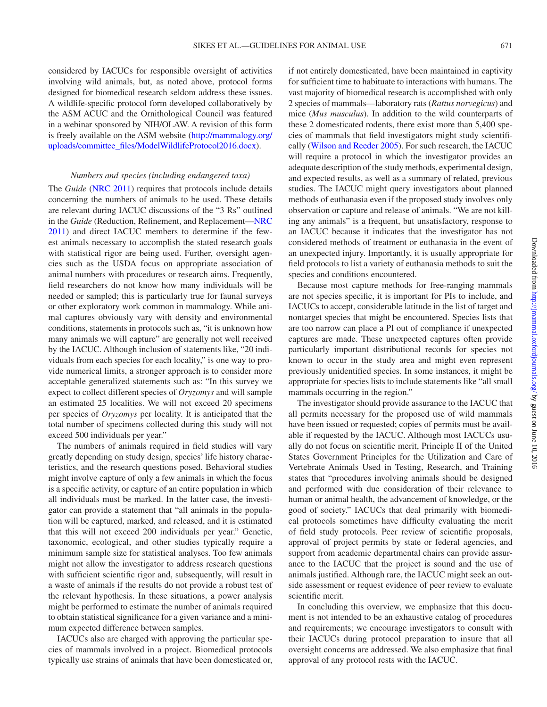considered by IACUCs for responsible oversight of activities involving wild animals, but, as noted above, protocol forms designed for biomedical research seldom address these issues. A wildlife-specific protocol form developed collaboratively by the ASM ACUC and the Ornithological Council was featured in a webinar sponsored by NIH/OLAW. A revision of this form is freely available on the ASM website [\(http://mammalogy.org/](http://mammalogy.org/uploads/committee_files/ModelWildlifeProtocol2016.docx) [uploads/committee\\_files/ModelWildlifeProtocol2016.docx\)](http://mammalogy.org/uploads/committee_files/ModelWildlifeProtocol2016.docx).

#### *Numbers and species (including endangered taxa)*

The *Guide* [\(NRC 2011\)](#page-25-6) requires that protocols include details concerning the numbers of animals to be used. These details are relevant during IACUC discussions of the "3 Rs" outlined in the *Guide* (Reduction, Refinement, and Replacement[—NRC](#page-25-6)  [2011\)](#page-25-6) and direct IACUC members to determine if the fewest animals necessary to accomplish the stated research goals with statistical rigor are being used. Further, oversight agencies such as the USDA focus on appropriate association of animal numbers with procedures or research aims. Frequently, field researchers do not know how many individuals will be needed or sampled; this is particularly true for faunal surveys or other exploratory work common in mammalogy. While animal captures obviously vary with density and environmental conditions, statements in protocols such as, "it is unknown how many animals we will capture" are generally not well received by the IACUC. Although inclusion of statements like, "20 individuals from each species for each locality," is one way to provide numerical limits, a stronger approach is to consider more acceptable generalized statements such as: "In this survey we expect to collect different species of *Oryzomys* and will sample an estimated 25 localities. We will not exceed 20 specimens per species of *Oryzomys* per locality. It is anticipated that the total number of specimens collected during this study will not exceed 500 individuals per year."

The numbers of animals required in field studies will vary greatly depending on study design, species' life history characteristics, and the research questions posed. Behavioral studies might involve capture of only a few animals in which the focus is a specific activity, or capture of an entire population in which all individuals must be marked. In the latter case, the investigator can provide a statement that "all animals in the population will be captured, marked, and released, and it is estimated that this will not exceed 200 individuals per year." Genetic, taxonomic, ecological, and other studies typically require a minimum sample size for statistical analyses. Too few animals might not allow the investigator to address research questions with sufficient scientific rigor and, subsequently, will result in a waste of animals if the results do not provide a robust test of the relevant hypothesis. In these situations, a power analysis might be performed to estimate the number of animals required to obtain statistical significance for a given variance and a minimum expected difference between samples.

IACUCs also are charged with approving the particular species of mammals involved in a project. Biomedical protocols typically use strains of animals that have been domesticated or,

if not entirely domesticated, have been maintained in captivity for sufficient time to habituate to interactions with humans. The vast majority of biomedical research is accomplished with only 2 species of mammals—laboratory rats (*Rattus norvegicus*) and mice (*Mus musculus*). In addition to the wild counterparts of these 2 domesticated rodents, there exist more than 5,400 species of mammals that field investigators might study scientifically [\(Wilson and Reeder 2005](#page-26-1)). For such research, the IACUC will require a protocol in which the investigator provides an adequate description of the study methods, experimental design, and expected results, as well as a summary of related, previous studies. The IACUC might query investigators about planned methods of euthanasia even if the proposed study involves only observation or capture and release of animals. "We are not killing any animals" is a frequent, but unsatisfactory, response to an IACUC because it indicates that the investigator has not considered methods of treatment or euthanasia in the event of an unexpected injury. Importantly, it is usually appropriate for field protocols to list a variety of euthanasia methods to suit the species and conditions encountered.

Because most capture methods for free-ranging mammals are not species specific, it is important for PIs to include, and IACUCs to accept, considerable latitude in the list of target and nontarget species that might be encountered. Species lists that are too narrow can place a PI out of compliance if unexpected captures are made. These unexpected captures often provide particularly important distributional records for species not known to occur in the study area and might even represent previously unidentified species. In some instances, it might be appropriate for species lists to include statements like "all small mammals occurring in the region."

The investigator should provide assurance to the IACUC that all permits necessary for the proposed use of wild mammals have been issued or requested; copies of permits must be available if requested by the IACUC. Although most IACUCs usually do not focus on scientific merit, Principle II of the United States Government Principles for the Utilization and Care of Vertebrate Animals Used in Testing, Research, and Training states that "procedures involving animals should be designed and performed with due consideration of their relevance to human or animal health, the advancement of knowledge, or the good of society." IACUCs that deal primarily with biomedical protocols sometimes have difficulty evaluating the merit of field study protocols. Peer review of scientific proposals, approval of project permits by state or federal agencies, and support from academic departmental chairs can provide assurance to the IACUC that the project is sound and the use of animals justified. Although rare, the IACUC might seek an outside assessment or request evidence of peer review to evaluate scientific merit.

In concluding this overview, we emphasize that this document is not intended to be an exhaustive catalog of procedures and requirements; we encourage investigators to consult with their IACUCs during protocol preparation to insure that all oversight concerns are addressed. We also emphasize that final approval of any protocol rests with the IACUC.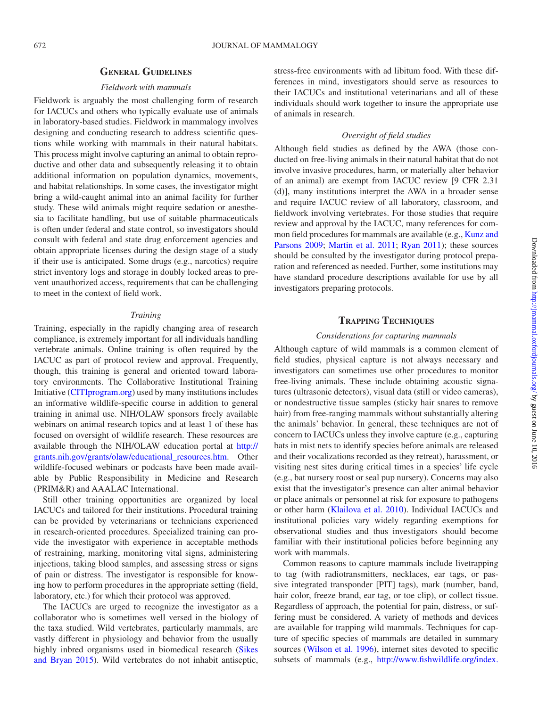### **General Guidelines**

## *Fieldwork with mammals*

Fieldwork is arguably the most challenging form of research for IACUCs and others who typically evaluate use of animals in laboratory-based studies. Fieldwork in mammalogy involves designing and conducting research to address scientific questions while working with mammals in their natural habitats. This process might involve capturing an animal to obtain reproductive and other data and subsequently releasing it to obtain additional information on population dynamics, movements, and habitat relationships. In some cases, the investigator might bring a wild-caught animal into an animal facility for further study. These wild animals might require sedation or anesthesia to facilitate handling, but use of suitable pharmaceuticals is often under federal and state control, so investigators should consult with federal and state drug enforcement agencies and obtain appropriate licenses during the design stage of a study if their use is anticipated. Some drugs (e.g., narcotics) require strict inventory logs and storage in doubly locked areas to prevent unauthorized access, requirements that can be challenging to meet in the context of field work.

#### *Training*

Training, especially in the rapidly changing area of research compliance, is extremely important for all individuals handling vertebrate animals. Online training is often required by the IACUC as part of protocol review and approval. Frequently, though, this training is general and oriented toward laboratory environments. The Collaborative Institutional Training Initiative ([CITIprogram.org\)](http://CITIprogram.org) used by many institutions includes an informative wildlife-specific course in addition to general training in animal use. NIH/OLAW sponsors freely available webinars on animal research topics and at least 1 of these has focused on oversight of wildlife research. These resources are available through the NIH/OLAW education portal at [http://](http://grants.nih.gov/grants/olaw/educational_resources.htm) [grants.nih.gov/grants/olaw/educational\\_resources.htm](http://grants.nih.gov/grants/olaw/educational_resources.htm). Other wildlife-focused webinars or podcasts have been made available by Public Responsibility in Medicine and Research (PRIM&R) and AAALAC International.

Still other training opportunities are organized by local IACUCs and tailored for their institutions. Procedural training can be provided by veterinarians or technicians experienced in research-oriented procedures. Specialized training can provide the investigator with experience in acceptable methods of restraining, marking, monitoring vital signs, administering injections, taking blood samples, and assessing stress or signs of pain or distress. The investigator is responsible for knowing how to perform procedures in the appropriate setting (field, laboratory, etc.) for which their protocol was approved.

The IACUCs are urged to recognize the investigator as a collaborator who is sometimes well versed in the biology of the taxa studied. Wild vertebrates, particularly mammals, are vastly different in physiology and behavior from the usually highly inbred organisms used in biomedical research [\(Sikes](#page-25-4)  [and Bryan 2015\)](#page-25-4). Wild vertebrates do not inhabit antiseptic, stress-free environments with ad libitum food. With these differences in mind, investigators should serve as resources to their IACUCs and institutional veterinarians and all of these individuals should work together to insure the appropriate use of animals in research.

#### *Oversight of field studies*

Although field studies as defined by the AWA (those conducted on free-living animals in their natural habitat that do not involve invasive procedures, harm, or materially alter behavior of an animal) are exempt from IACUC review [9 CFR 2.31 (d)], many institutions interpret the AWA in a broader sense and require IACUC review of all laboratory, classroom, and fieldwork involving vertebrates. For those studies that require review and approval by the IACUC, many references for common field procedures for mammals are available (e.g., [Kunz and](#page-25-14)  [Parsons 2009;](#page-25-14) [Martin et](#page-25-15) al. 2011; [Ryan 2011](#page-25-16)); these sources should be consulted by the investigator during protocol preparation and referenced as needed. Further, some institutions may have standard procedure descriptions available for use by all investigators preparing protocols.

# **Trapping Techniques**

#### *Considerations for capturing mammals*

Although capture of wild mammals is a common element of field studies, physical capture is not always necessary and investigators can sometimes use other procedures to monitor free-living animals. These include obtaining acoustic signatures (ultrasonic detectors), visual data (still or video cameras), or nondestructive tissue samples (sticky hair snares to remove hair) from free-ranging mammals without substantially altering the animals' behavior. In general, these techniques are not of concern to IACUCs unless they involve capture (e.g., capturing bats in mist nets to identify species before animals are released and their vocalizations recorded as they retreat), harassment, or visiting nest sites during critical times in a species' life cycle (e.g., bat nursery roost or seal pup nursery). Concerns may also exist that the investigator's presence can alter animal behavior or place animals or personnel at risk for exposure to pathogens or other harm [\(Klailova et](#page-24-7) al. 2010). Individual IACUCs and institutional policies vary widely regarding exemptions for observational studies and thus investigators should become familiar with their institutional policies before beginning any work with mammals.

Common reasons to capture mammals include livetrapping to tag (with radiotransmitters, necklaces, ear tags, or passive integrated transponder [PIT] tags), mark (number, band, hair color, freeze brand, ear tag, or toe clip), or collect tissue. Regardless of approach, the potential for pain, distress, or suffering must be considered. A variety of methods and devices are available for trapping wild mammals. Techniques for capture of specific species of mammals are detailed in summary sources [\(Wilson et](#page-26-3) al. 1996), internet sites devoted to specific subsets of mammals (e.g., [http://www.fishwildlife.org/index.](http://www.fishwildlife.org/index.php?section=furbearer_management&activator=27)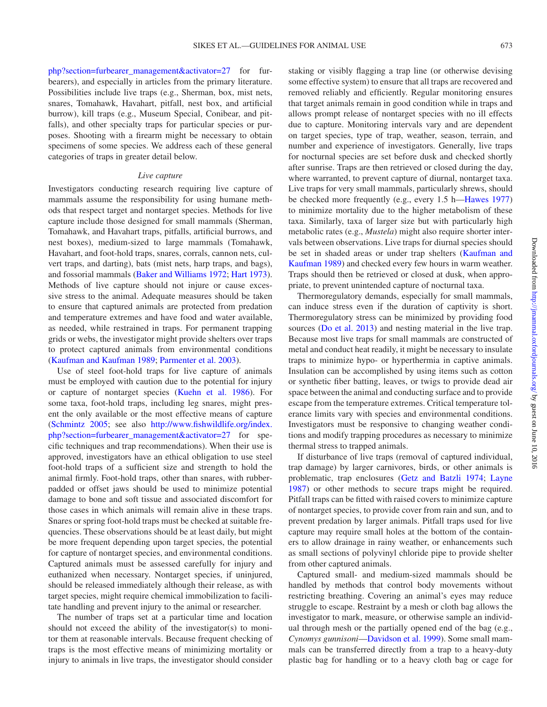[php?section=furbearer\\_management&activator=27](http://www.fishwildlife.org/index.php?section=furbearer_management&activator=27) for furbearers), and especially in articles from the primary literature. Possibilities include live traps (e.g., Sherman, box, mist nets, snares, Tomahawk, Havahart, pitfall, nest box, and artificial burrow), kill traps (e.g., Museum Special, Conibear, and pitfalls), and other specialty traps for particular species or purposes. Shooting with a firearm might be necessary to obtain specimens of some species. We address each of these general categories of traps in greater detail below.

#### *Live capture*

Investigators conducting research requiring live capture of mammals assume the responsibility for using humane methods that respect target and nontarget species. Methods for live capture include those designed for small mammals (Sherman, Tomahawk, and Havahart traps, pitfalls, artificial burrows, and nest boxes), medium-sized to large mammals (Tomahawk, Havahart, and foot-hold traps, snares, corrals, cannon nets, culvert traps, and darting), bats (mist nets, harp traps, and bags), and fossorial mammals [\(Baker and Williams 1972;](#page-24-8) [Hart 1973](#page-24-9)). Methods of live capture should not injure or cause excessive stress to the animal. Adequate measures should be taken to ensure that captured animals are protected from predation and temperature extremes and have food and water available, as needed, while restrained in traps. For permanent trapping grids or webs, the investigator might provide shelters over traps to protect captured animals from environmental conditions [\(Kaufman and Kaufman 1989;](#page-24-10) [Parmenter et](#page-25-17) al. 2003).

Use of steel foot-hold traps for live capture of animals must be employed with caution due to the potential for injury or capture of nontarget species ([Kuehn et](#page-24-11) al. 1986). For some taxa, foot-hold traps, including leg snares, might present the only available or the most effective means of capture [\(Schmintz 2005;](#page-25-18) see also [http://www.fishwildlife.org/index.](http://www.fishwildlife.org/index.php?section=furbearer_management&activator=27) [php?section=furbearer\\_management&activator=27](http://www.fishwildlife.org/index.php?section=furbearer_management&activator=27) for specific techniques and trap recommendations). When their use is approved, investigators have an ethical obligation to use steel foot-hold traps of a sufficient size and strength to hold the animal firmly. Foot-hold traps, other than snares, with rubberpadded or offset jaws should be used to minimize potential damage to bone and soft tissue and associated discomfort for those cases in which animals will remain alive in these traps. Snares or spring foot-hold traps must be checked at suitable frequencies. These observations should be at least daily, but might be more frequent depending upon target species, the potential for capture of nontarget species, and environmental conditions. Captured animals must be assessed carefully for injury and euthanized when necessary. Nontarget species, if uninjured, should be released immediately although their release, as with target species, might require chemical immobilization to facilitate handling and prevent injury to the animal or researcher.

The number of traps set at a particular time and location should not exceed the ability of the investigator(s) to monitor them at reasonable intervals. Because frequent checking of traps is the most effective means of minimizing mortality or injury to animals in live traps, the investigator should consider staking or visibly flagging a trap line (or otherwise devising some effective system) to ensure that all traps are recovered and removed reliably and efficiently. Regular monitoring ensures that target animals remain in good condition while in traps and allows prompt release of nontarget species with no ill effects due to capture. Monitoring intervals vary and are dependent on target species, type of trap, weather, season, terrain, and number and experience of investigators. Generally, live traps for nocturnal species are set before dusk and checked shortly after sunrise. Traps are then retrieved or closed during the day, where warranted, to prevent capture of diurnal, nontarget taxa. Live traps for very small mammals, particularly shrews, should be checked more frequently (e.g., every 1.5 h[—Hawes 1977\)](#page-24-12) to minimize mortality due to the higher metabolism of these taxa. Similarly, taxa of larger size but with particularly high metabolic rates (e.g., *Mustela*) might also require shorter intervals between observations. Live traps for diurnal species should be set in shaded areas or under trap shelters [\(Kaufman and](#page-24-10) [Kaufman 1989](#page-24-10)) and checked every few hours in warm weather. Traps should then be retrieved or closed at dusk, when appropriate, to prevent unintended capture of nocturnal taxa.

Thermoregulatory demands, especially for small mammals, can induce stress even if the duration of captivity is short. Thermoregulatory stress can be minimized by providing food sources (Do et [al. 2013\)](#page-24-13) and nesting material in the live trap. Because most live traps for small mammals are constructed of metal and conduct heat readily, it might be necessary to insulate traps to minimize hypo- or hyperthermia in captive animals. Insulation can be accomplished by using items such as cotton or synthetic fiber batting, leaves, or twigs to provide dead air space between the animal and conducting surface and to provide escape from the temperature extremes. Critical temperature tolerance limits vary with species and environmental conditions. Investigators must be responsive to changing weather conditions and modify trapping procedures as necessary to minimize thermal stress to trapped animals.

If disturbance of live traps (removal of captured individual, trap damage) by larger carnivores, birds, or other animals is problematic, trap enclosures [\(Getz and Batzli 1974](#page-24-14); [Layne](#page-25-19) [1987](#page-25-19)) or other methods to secure traps might be required. Pitfall traps can be fitted with raised covers to minimize capture of nontarget species, to provide cover from rain and sun, and to prevent predation by larger animals. Pitfall traps used for live capture may require small holes at the bottom of the containers to allow drainage in rainy weather, or enhancements such as small sections of polyvinyl chloride pipe to provide shelter from other captured animals.

Captured small- and medium-sized mammals should be handled by methods that control body movements without restricting breathing. Covering an animal's eyes may reduce struggle to escape. Restraint by a mesh or cloth bag allows the investigator to mark, measure, or otherwise sample an individual through mesh or the partially opened end of the bag (e.g., *Cynomys gunnisoni*[—Davidson et](#page-24-15) al. 1999). Some small mammals can be transferred directly from a trap to a heavy-duty plastic bag for handling or to a heavy cloth bag or cage for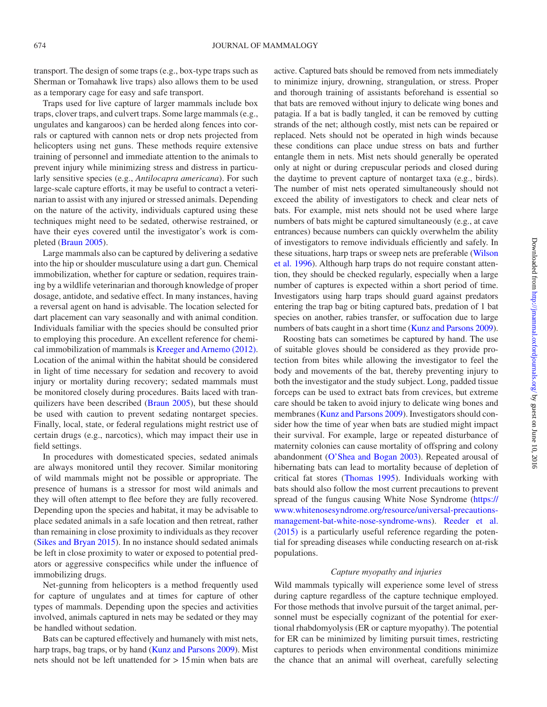transport. The design of some traps (e.g., box-type traps such as Sherman or Tomahawk live traps) also allows them to be used as a temporary cage for easy and safe transport.

Traps used for live capture of larger mammals include box traps, clover traps, and culvert traps. Some large mammals (e.g., ungulates and kangaroos) can be herded along fences into corrals or captured with cannon nets or drop nets projected from helicopters using net guns. These methods require extensive training of personnel and immediate attention to the animals to prevent injury while minimizing stress and distress in particularly sensitive species (e.g., *Antilocapra americana*). For such large-scale capture efforts, it may be useful to contract a veterinarian to assist with any injured or stressed animals. Depending on the nature of the activity, individuals captured using these techniques might need to be sedated, otherwise restrained, or have their eyes covered until the investigator's work is completed [\(Braun 2005](#page-24-16)).

Large mammals also can be captured by delivering a sedative into the hip or shoulder musculature using a dart gun. Chemical immobilization, whether for capture or sedation, requires training by a wildlife veterinarian and thorough knowledge of proper dosage, antidote, and sedative effect. In many instances, having a reversal agent on hand is advisable. The location selected for dart placement can vary seasonally and with animal condition. Individuals familiar with the species should be consulted prior to employing this procedure. An excellent reference for chemical immobilization of mammals is [Kreeger and Arnemo \(2012\)](#page-24-17). Location of the animal within the habitat should be considered in light of time necessary for sedation and recovery to avoid injury or mortality during recovery; sedated mammals must be monitored closely during procedures. Baits laced with tranquilizers have been described [\(Braun 2005](#page-24-16)), but these should be used with caution to prevent sedating nontarget species. Finally, local, state, or federal regulations might restrict use of certain drugs (e.g., narcotics), which may impact their use in field settings.

In procedures with domesticated species, sedated animals are always monitored until they recover. Similar monitoring of wild mammals might not be possible or appropriate. The presence of humans is a stressor for most wild animals and they will often attempt to flee before they are fully recovered. Depending upon the species and habitat, it may be advisable to place sedated animals in a safe location and then retreat, rather than remaining in close proximity to individuals as they recover [\(Sikes and Bryan 2015](#page-25-4)). In no instance should sedated animals be left in close proximity to water or exposed to potential predators or aggressive conspecifics while under the influence of immobilizing drugs.

Net-gunning from helicopters is a method frequently used for capture of ungulates and at times for capture of other types of mammals. Depending upon the species and activities involved, animals captured in nets may be sedated or they may be handled without sedation.

Bats can be captured effectively and humanely with mist nets, harp traps, bag traps, or by hand ([Kunz and Parsons 2009\)](#page-25-14). Mist nets should not be left unattended for > 15min when bats are active. Captured bats should be removed from nets immediately to minimize injury, drowning, strangulation, or stress. Proper and thorough training of assistants beforehand is essential so that bats are removed without injury to delicate wing bones and patagia. If a bat is badly tangled, it can be removed by cutting strands of the net; although costly, mist nets can be repaired or replaced. Nets should not be operated in high winds because these conditions can place undue stress on bats and further entangle them in nets. Mist nets should generally be operated only at night or during crepuscular periods and closed during the daytime to prevent capture of nontarget taxa (e.g., birds). The number of mist nets operated simultaneously should not exceed the ability of investigators to check and clear nets of bats. For example, mist nets should not be used where large numbers of bats might be captured simultaneously (e.g., at cave entrances) because numbers can quickly overwhelm the ability of investigators to remove individuals efficiently and safely. In these situations, harp traps or sweep nets are preferable ([Wilson](#page-26-3)  et [al. 1996](#page-26-3)). Although harp traps do not require constant attention, they should be checked regularly, especially when a large number of captures is expected within a short period of time. Investigators using harp traps should guard against predators entering the trap bag or biting captured bats, predation of 1 bat species on another, rabies transfer, or suffocation due to large numbers of bats caught in a short time [\(Kunz and Parsons 2009](#page-25-14)).

Roosting bats can sometimes be captured by hand. The use of suitable gloves should be considered as they provide protection from bites while allowing the investigator to feel the body and movements of the bat, thereby preventing injury to both the investigator and the study subject. Long, padded tissue forceps can be used to extract bats from crevices, but extreme care should be taken to avoid injury to delicate wing bones and membranes [\(Kunz and Parsons 2009\)](#page-25-14). Investigators should consider how the time of year when bats are studied might impact their survival. For example, large or repeated disturbance of maternity colonies can cause mortality of offspring and colony abandonment ([O'Shea and Bogan 2003\)](#page-25-20). Repeated arousal of hibernating bats can lead to mortality because of depletion of critical fat stores ([Thomas 1995\)](#page-25-21). Individuals working with bats should also follow the most current precautions to prevent spread of the fungus causing White Nose Syndrome [\(https://](https://www.whitenosesyndrome.org/resource/universal-precautions-management-bat-white-nose-syndrome-wns) [www.whitenosesyndrome.org/resource/universal-precautions](https://www.whitenosesyndrome.org/resource/universal-precautions-management-bat-white-nose-syndrome-wns)[management-bat-white-nose-syndrome-wns](https://www.whitenosesyndrome.org/resource/universal-precautions-management-bat-white-nose-syndrome-wns)). [Reeder et](#page-25-22) al. [\(2015\)](#page-25-22) is a particularly useful reference regarding the potential for spreading diseases while conducting research on at-risk populations.

#### *Capture myopathy and injuries*

Wild mammals typically will experience some level of stress during capture regardless of the capture technique employed. For those methods that involve pursuit of the target animal, personnel must be especially cognizant of the potential for exertional rhabdomyolysis (ER or capture myopathy). The potential for ER can be minimized by limiting pursuit times, restricting captures to periods when environmental conditions minimize the chance that an animal will overheat, carefully selecting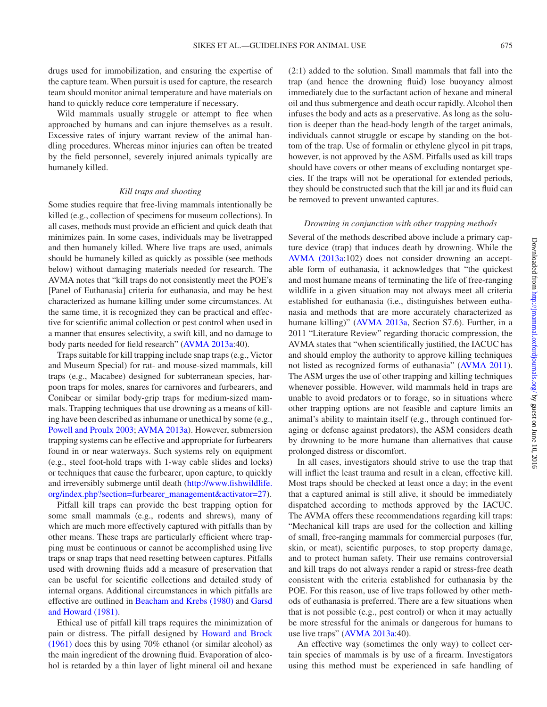drugs used for immobilization, and ensuring the expertise of the capture team. When pursuit is used for capture, the research team should monitor animal temperature and have materials on hand to quickly reduce core temperature if necessary.

Wild mammals usually struggle or attempt to flee when approached by humans and can injure themselves as a result. Excessive rates of injury warrant review of the animal handling procedures. Whereas minor injuries can often be treated by the field personnel, severely injured animals typically are humanely killed.

#### *Kill traps and shooting*

Some studies require that free-living mammals intentionally be killed (e.g., collection of specimens for museum collections). In all cases, methods must provide an efficient and quick death that minimizes pain. In some cases, individuals may be livetrapped and then humanely killed. Where live traps are used, animals should be humanely killed as quickly as possible (see methods below) without damaging materials needed for research. The AVMA notes that "kill traps do not consistently meet the POE's [Panel of Euthanasia] criteria for euthanasia, and may be best characterized as humane killing under some circumstances. At the same time, it is recognized they can be practical and effective for scientific animal collection or pest control when used in a manner that ensures selectivity, a swift kill, and no damage to body parts needed for field research" [\(AVMA 2013a](#page-23-2):40).

Traps suitable for kill trapping include snap traps (e.g., Victor and Museum Special) for rat- and mouse-sized mammals, kill traps (e.g., Macabee) designed for subterranean species, harpoon traps for moles, snares for carnivores and furbearers, and Conibear or similar body-grip traps for medium-sized mammals. Trapping techniques that use drowning as a means of killing have been described as inhumane or unethical by some (e.g., [Powell and Proulx 2003;](#page-25-23) [AVMA 2013a](#page-23-2)). However, submersion trapping systems can be effective and appropriate for furbearers found in or near waterways. Such systems rely on equipment (e.g., steel foot-hold traps with 1-way cable slides and locks) or techniques that cause the furbearer, upon capture, to quickly and irreversibly submerge until death ([http://www.fishwildlife.](http://www.fishwildlife.org/index.php?section=furbearer_management&activator=27) [org/index.php?section=furbearer\\_management&activator=27\)](http://www.fishwildlife.org/index.php?section=furbearer_management&activator=27).

Pitfall kill traps can provide the best trapping option for some small mammals (e.g., rodents and shrews), many of which are much more effectively captured with pitfalls than by other means. These traps are particularly efficient where trapping must be continuous or cannot be accomplished using live traps or snap traps that need resetting between captures. Pitfalls used with drowning fluids add a measure of preservation that can be useful for scientific collections and detailed study of internal organs. Additional circumstances in which pitfalls are effective are outlined in [Beacham and Krebs \(1980\)](#page-24-18) and [Garsd](#page-24-19) [and Howard \(1981\).](#page-24-19)

Ethical use of pitfall kill traps requires the minimization of pain or distress. The pitfall designed by [Howard and Brock](#page-24-20) [\(1961\)](#page-24-20) does this by using 70% ethanol (or similar alcohol) as the main ingredient of the drowning fluid. Evaporation of alcohol is retarded by a thin layer of light mineral oil and hexane

(2:1) added to the solution. Small mammals that fall into the trap (and hence the drowning fluid) lose buoyancy almost immediately due to the surfactant action of hexane and mineral oil and thus submergence and death occur rapidly. Alcohol then infuses the body and acts as a preservative. As long as the solution is deeper than the head-body length of the target animals, individuals cannot struggle or escape by standing on the bottom of the trap. Use of formalin or ethylene glycol in pit traps, however, is not approved by the ASM. Pitfalls used as kill traps should have covers or other means of excluding nontarget species. If the traps will not be operational for extended periods, they should be constructed such that the kill jar and its fluid can be removed to prevent unwanted captures.

#### *Drowning in conjunction with other trapping methods*

Several of the methods described above include a primary capture device (trap) that induces death by drowning. While the [AVMA \(2013a](#page-23-2):102) does not consider drowning an acceptable form of euthanasia, it acknowledges that "the quickest and most humane means of terminating the life of free-ranging wildlife in a given situation may not always meet all criteria established for euthanasia (i.e., distinguishes between euthanasia and methods that are more accurately characterized as humane killing)" ([AVMA 2013a](#page-23-2), Section S7.6). Further, in a 2011 "Literature Review" regarding thoracic compression, the AVMA states that "when scientifically justified, the IACUC has and should employ the authority to approve killing techniques not listed as recognized forms of euthanasia" ([AVMA 2011](#page-23-3)). The ASM urges the use of other trapping and killing techniques whenever possible. However, wild mammals held in traps are unable to avoid predators or to forage, so in situations where other trapping options are not feasible and capture limits an animal's ability to maintain itself (e.g., through continued foraging or defense against predators), the ASM considers death by drowning to be more humane than alternatives that cause prolonged distress or discomfort.

In all cases, investigators should strive to use the trap that will inflict the least trauma and result in a clean, effective kill. Most traps should be checked at least once a day; in the event that a captured animal is still alive, it should be immediately dispatched according to methods approved by the IACUC. The AVMA offers these recommendations regarding kill traps: "Mechanical kill traps are used for the collection and killing of small, free-ranging mammals for commercial purposes (fur, skin, or meat), scientific purposes, to stop property damage, and to protect human safety. Their use remains controversial and kill traps do not always render a rapid or stress-free death consistent with the criteria established for euthanasia by the POE. For this reason, use of live traps followed by other methods of euthanasia is preferred. There are a few situations when that is not possible (e.g., pest control) or when it may actually be more stressful for the animals or dangerous for humans to use live traps" ([AVMA 2013a:](#page-23-2)40).

An effective way (sometimes the only way) to collect certain species of mammals is by use of a firearm. Investigators using this method must be experienced in safe handling of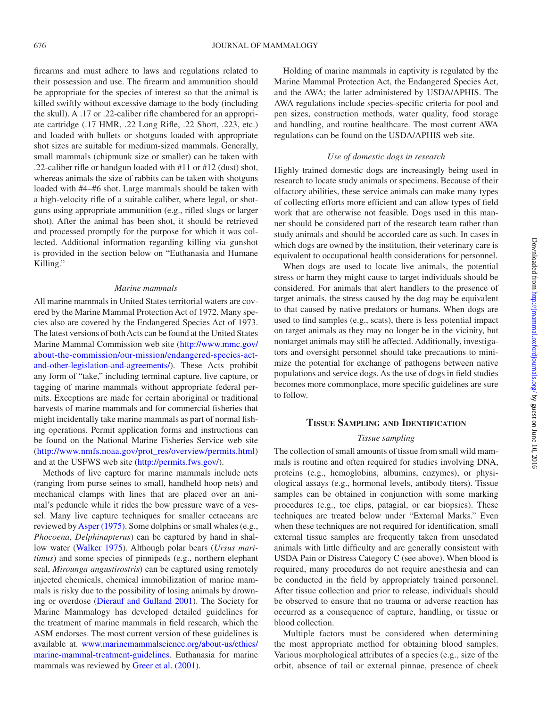firearms and must adhere to laws and regulations related to their possession and use. The firearm and ammunition should be appropriate for the species of interest so that the animal is killed swiftly without excessive damage to the body (including the skull). A .17 or .22-caliber rifle chambered for an appropriate cartridge (.17 HMR, .22 Long Rifle, .22 Short, .223, etc.) and loaded with bullets or shotguns loaded with appropriate shot sizes are suitable for medium-sized mammals. Generally, small mammals (chipmunk size or smaller) can be taken with .22-caliber rifle or handgun loaded with #11 or #12 (dust) shot, whereas animals the size of rabbits can be taken with shotguns loaded with #4–#6 shot. Large mammals should be taken with a high-velocity rifle of a suitable caliber, where legal, or shotguns using appropriate ammunition (e.g., rifled slugs or larger shot). After the animal has been shot, it should be retrieved and processed promptly for the purpose for which it was collected. Additional information regarding killing via gunshot is provided in the section below on "Euthanasia and Humane Killing."

#### *Marine mammals*

All marine mammals in United States territorial waters are covered by the Marine Mammal Protection Act of 1972. Many species also are covered by the Endangered Species Act of 1973. The latest versions of both Acts can be found at the United States Marine Mammal Commission web site [\(http://www.mmc.gov/](http://www.mmc.gov/about-the-commission/our-mission/endangered-species-act-and-other-legislation-and-agreements/ ) [about-the-commission/our-mission/endangered-species-act](http://www.mmc.gov/about-the-commission/our-mission/endangered-species-act-and-other-legislation-and-agreements/ )[and-other-legislation-and-agreements/](http://www.mmc.gov/about-the-commission/our-mission/endangered-species-act-and-other-legislation-and-agreements/ )). These Acts prohibit any form of "take," including terminal capture, live capture, or tagging of marine mammals without appropriate federal permits. Exceptions are made for certain aboriginal or traditional harvests of marine mammals and for commercial fisheries that might incidentally take marine mammals as part of normal fishing operations. Permit application forms and instructions can be found on the National Marine Fisheries Service web site ([http://www.nmfs.noaa.gov/prot\\_res/overview/permits.html\)](http://www.nmfs.noaa.gov/prot_res/overview/permits.html) and at the USFWS web site [\(http://permits.fws.gov/](http://permits.fws.gov/)).

Methods of live capture for marine mammals include nets (ranging from purse seines to small, handheld hoop nets) and mechanical clamps with lines that are placed over an animal's peduncle while it rides the bow pressure wave of a vessel. Many live capture techniques for smaller cetaceans are reviewed by [Asper \(1975\).](#page-24-21) Some dolphins or small whales (e.g., *Phocoena*, *Delphinapterus*) can be captured by hand in shallow water [\(Walker 1975](#page-25-24)). Although polar bears (*Ursus maritimus*) and some species of pinnipeds (e.g., northern elephant seal, *Mirounga angustirostris*) can be captured using remotely injected chemicals, chemical immobilization of marine mammals is risky due to the possibility of losing animals by drowning or overdose [\(Dierauf and Gulland 2001\)](#page-24-22). The Society for Marine Mammalogy has developed detailed guidelines for the treatment of marine mammals in field research, which the ASM endorses. The most current version of these guidelines is available at. [www.marinemammalscience.org/about-us/ethics/](http://www.marinemammalscience.org/about-us/ethics/marine-mammal-treatment-guidelines) [marine-mammal-treatment-guidelines.](http://www.marinemammalscience.org/about-us/ethics/marine-mammal-treatment-guidelines) Euthanasia for marine mammals was reviewed by Greer et [al. \(2001\)](#page-24-23).

Holding of marine mammals in captivity is regulated by the Marine Mammal Protection Act, the Endangered Species Act, and the AWA; the latter administered by USDA/APHIS. The AWA regulations include species-specific criteria for pool and pen sizes, construction methods, water quality, food storage and handling, and routine healthcare. The most current AWA regulations can be found on the USDA/APHIS web site.

#### *Use of domestic dogs in research*

Highly trained domestic dogs are increasingly being used in research to locate study animals or specimens. Because of their olfactory abilities, these service animals can make many types of collecting efforts more efficient and can allow types of field work that are otherwise not feasible. Dogs used in this manner should be considered part of the research team rather than study animals and should be accorded care as such. In cases in which dogs are owned by the institution, their veterinary care is equivalent to occupational health considerations for personnel.

When dogs are used to locate live animals, the potential stress or harm they might cause to target individuals should be considered. For animals that alert handlers to the presence of target animals, the stress caused by the dog may be equivalent to that caused by native predators or humans. When dogs are used to find samples (e.g., scats), there is less potential impact on target animals as they may no longer be in the vicinity, but nontarget animals may still be affected. Additionally, investigators and oversight personnel should take precautions to minimize the potential for exchange of pathogens between native populations and service dogs. As the use of dogs in field studies becomes more commonplace, more specific guidelines are sure to follow.

# **Tissue Sampling and Identification**

#### *Tissue sampling*

The collection of small amounts of tissue from small wild mammals is routine and often required for studies involving DNA, proteins (e.g., hemoglobins, albumins, enzymes), or physiological assays (e.g., hormonal levels, antibody titers). Tissue samples can be obtained in conjunction with some marking procedures (e.g., toe clips, patagial, or ear biopsies). These techniques are treated below under "External Marks." Even when these techniques are not required for identification, small external tissue samples are frequently taken from unsedated animals with little difficulty and are generally consistent with USDA Pain or Distress Category C (see above). When blood is required, many procedures do not require anesthesia and can be conducted in the field by appropriately trained personnel. After tissue collection and prior to release, individuals should be observed to ensure that no trauma or adverse reaction has occurred as a consequence of capture, handling, or tissue or blood collection.

Multiple factors must be considered when determining the most appropriate method for obtaining blood samples. Various morphological attributes of a species (e.g., size of the orbit, absence of tail or external pinnae, presence of cheek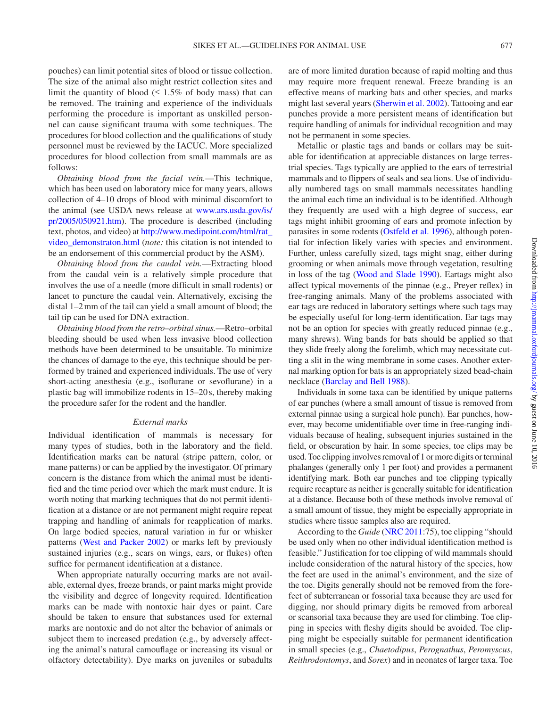pouches) can limit potential sites of blood or tissue collection. The size of the animal also might restrict collection sites and limit the quantity of blood ( $\leq 1.5\%$  of body mass) that can be removed. The training and experience of the individuals performing the procedure is important as unskilled personnel can cause significant trauma with some techniques. The procedures for blood collection and the qualifications of study personnel must be reviewed by the IACUC. More specialized procedures for blood collection from small mammals are as follows:

*Obtaining blood from the facial vein.*—This technique, which has been used on laboratory mice for many years, allows collection of 4–10 drops of blood with minimal discomfort to the animal (see USDA news release at [www.ars.usda.gov/is/](http://www.ars.usda.gov/is/pr/2005/050921.htm) [pr/2005/050921.htm\)](http://www.ars.usda.gov/is/pr/2005/050921.htm). The procedure is described (including text, photos, and video) at [http://www.medipoint.com/html/rat\\_](http://www.medipoint.com/html/rat_video_demonstraton.html) [video\\_demonstraton.html](http://www.medipoint.com/html/rat_video_demonstraton.html) (*note:* this citation is not intended to be an endorsement of this commercial product by the ASM).

*Obtaining blood from the caudal vein.*—Extracting blood from the caudal vein is a relatively simple procedure that involves the use of a needle (more difficult in small rodents) or lancet to puncture the caudal vein. Alternatively, excising the distal 1–2mm of the tail can yield a small amount of blood; the tail tip can be used for DNA extraction.

*Obtaining blood from the retro–orbitalsinus.*—Retro–orbital bleeding should be used when less invasive blood collection methods have been determined to be unsuitable. To minimize the chances of damage to the eye, this technique should be performed by trained and experienced individuals. The use of very short-acting anesthesia (e.g., isoflurane or sevoflurane) in a plastic bag will immobilize rodents in 15–20 s, thereby making the procedure safer for the rodent and the handler.

#### *External marks*

Individual identification of mammals is necessary for many types of studies, both in the laboratory and the field. Identification marks can be natural (stripe pattern, color, or mane patterns) or can be applied by the investigator. Of primary concern is the distance from which the animal must be identified and the time period over which the mark must endure. It is worth noting that marking techniques that do not permit identification at a distance or are not permanent might require repeat trapping and handling of animals for reapplication of marks. On large bodied species, natural variation in fur or whisker patterns ([West and Packer 2002](#page-25-25)) or marks left by previously sustained injuries (e.g., scars on wings, ears, or flukes) often suffice for permanent identification at a distance.

When appropriate naturally occurring marks are not available, external dyes, freeze brands, or paint marks might provide the visibility and degree of longevity required. Identification marks can be made with nontoxic hair dyes or paint. Care should be taken to ensure that substances used for external marks are nontoxic and do not alter the behavior of animals or subject them to increased predation (e.g., by adversely affecting the animal's natural camouflage or increasing its visual or olfactory detectability). Dye marks on juveniles or subadults are of more limited duration because of rapid molting and thus may require more frequent renewal. Freeze branding is an effective means of marking bats and other species, and marks might last several years ([Sherwin et](#page-25-26) al. 2002). Tattooing and ear punches provide a more persistent means of identification but require handling of animals for individual recognition and may not be permanent in some species.

Metallic or plastic tags and bands or collars may be suitable for identification at appreciable distances on large terrestrial species. Tags typically are applied to the ears of terrestrial mammals and to flippers of seals and sea lions. Use of individually numbered tags on small mammals necessitates handling the animal each time an individual is to be identified. Although they frequently are used with a high degree of success, ear tags might inhibit grooming of ears and promote infection by parasites in some rodents [\(Ostfeld et](#page-25-27) al. 1996), although potential for infection likely varies with species and environment. Further, unless carefully sized, tags might snag, either during grooming or when animals move through vegetation, resulting in loss of the tag ([Wood and Slade 1990\)](#page-26-4). Eartags might also affect typical movements of the pinnae (e.g., Preyer reflex) in free-ranging animals. Many of the problems associated with ear tags are reduced in laboratory settings where such tags may be especially useful for long-term identification. Ear tags may not be an option for species with greatly reduced pinnae (e.g., many shrews). Wing bands for bats should be applied so that they slide freely along the forelimb, which may necessitate cutting a slit in the wing membrane in some cases. Another external marking option for bats is an appropriately sized bead-chain necklace ([Barclay and Bell 1988\)](#page-24-24).

Individuals in some taxa can be identified by unique patterns of ear punches (where a small amount of tissue is removed from external pinnae using a surgical hole punch). Ear punches, however, may become unidentifiable over time in free-ranging individuals because of healing, subsequent injuries sustained in the field, or obscuration by hair. In some species, toe clips may be used. Toe clipping involves removal of 1 or more digits or terminal phalanges (generally only 1 per foot) and provides a permanent identifying mark. Both ear punches and toe clipping typically require recapture as neither is generally suitable for identification at a distance. Because both of these methods involve removal of a small amount of tissue, they might be especially appropriate in studies where tissue samples also are required.

According to the *Guide* ([NRC 2011](#page-25-6):75), toe clipping "should be used only when no other individual identification method is feasible." Justification for toe clipping of wild mammals should include consideration of the natural history of the species, how the feet are used in the animal's environment, and the size of the toe. Digits generally should not be removed from the forefeet of subterranean or fossorial taxa because they are used for digging, nor should primary digits be removed from arboreal or scansorial taxa because they are used for climbing. Toe clipping in species with fleshy digits should be avoided. Toe clipping might be especially suitable for permanent identification in small species (e.g., *Chaetodipus*, *Perognathus*, *Peromyscus*, *Reithrodontomys*, and *Sorex*) and in neonates of larger taxa. Toe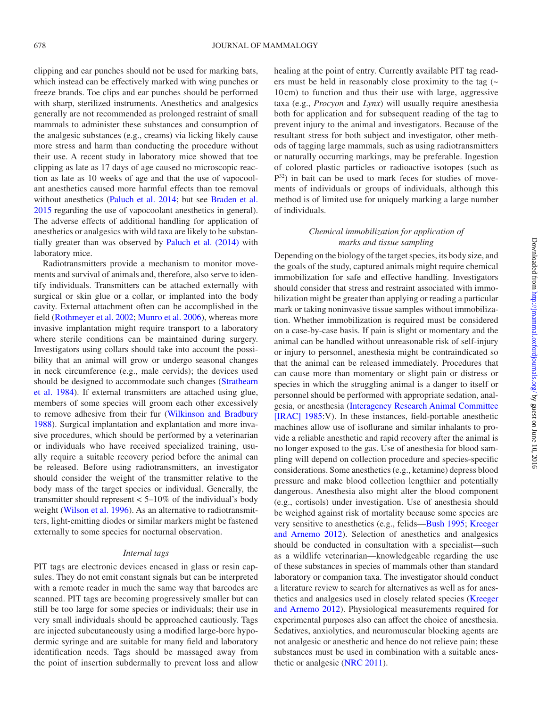clipping and ear punches should not be used for marking bats, which instead can be effectively marked with wing punches or freeze brands. Toe clips and ear punches should be performed with sharp, sterilized instruments. Anesthetics and analgesics generally are not recommended as prolonged restraint of small mammals to administer these substances and consumption of the analgesic substances (e.g., creams) via licking likely cause more stress and harm than conducting the procedure without their use. A recent study in laboratory mice showed that toe clipping as late as 17 days of age caused no microscopic reaction as late as 10 weeks of age and that the use of vapocoolant anesthetics caused more harmful effects than toe removal without anesthetics ([Paluch et](#page-25-28) al. 2014; but see [Braden et](#page-24-25) al. [2015](#page-24-25) regarding the use of vapocoolant anesthetics in general). The adverse effects of additional handling for application of anesthetics or analgesics with wild taxa are likely to be substantially greater than was observed by Paluch et [al. \(2014\)](#page-25-28) with laboratory mice.

Radiotransmitters provide a mechanism to monitor movements and survival of animals and, therefore, also serve to identify individuals. Transmitters can be attached externally with surgical or skin glue or a collar, or implanted into the body cavity. External attachment often can be accomplished in the field [\(Rothmeyer et](#page-25-29) al. 2002; [Munro et](#page-25-30) al. 2006), whereas more invasive implantation might require transport to a laboratory where sterile conditions can be maintained during surgery. Investigators using collars should take into account the possibility that an animal will grow or undergo seasonal changes in neck circumference (e.g., male cervids); the devices used should be designed to accommodate such changes ([Strathearn](#page-25-31) et [al. 1984\)](#page-25-31). If external transmitters are attached using glue, members of some species will groom each other excessively to remove adhesive from their fur [\(Wilkinson and Bradbury](#page-26-5)  [1988](#page-26-5)). Surgical implantation and explantation and more invasive procedures, which should be performed by a veterinarian or individuals who have received specialized training, usually require a suitable recovery period before the animal can be released. Before using radiotransmitters, an investigator should consider the weight of the transmitter relative to the body mass of the target species or individual. Generally, the transmitter should represent  $< 5{\text -}10\%$  of the individual's body weight [\(Wilson et](#page-26-3) al. 1996). As an alternative to radiotransmitters, light-emitting diodes or similar markers might be fastened externally to some species for nocturnal observation.

#### *Internal tags*

PIT tags are electronic devices encased in glass or resin capsules. They do not emit constant signals but can be interpreted with a remote reader in much the same way that barcodes are scanned. PIT tags are becoming progressively smaller but can still be too large for some species or individuals; their use in very small individuals should be approached cautiously. Tags are injected subcutaneously using a modified large-bore hypodermic syringe and are suitable for many field and laboratory identification needs. Tags should be massaged away from the point of insertion subdermally to prevent loss and allow healing at the point of entry. Currently available PIT tag readers must be held in reasonably close proximity to the tag  $($ 10 cm) to function and thus their use with large, aggressive taxa (e.g., *Procyon* and *Lynx*) will usually require anesthesia both for application and for subsequent reading of the tag to prevent injury to the animal and investigators. Because of the resultant stress for both subject and investigator, other methods of tagging large mammals, such as using radiotransmitters or naturally occurring markings, may be preferable. Ingestion of colored plastic particles or radioactive isotopes (such as  $P^{32}$ ) in bait can be used to mark feces for studies of movements of individuals or groups of individuals, although this method is of limited use for uniquely marking a large number of individuals.

# *Chemical immobilization for application of marks and tissue sampling*

Depending on the biology of the target species, its body size, and the goals of the study, captured animals might require chemical immobilization for safe and effective handling. Investigators should consider that stress and restraint associated with immobilization might be greater than applying or reading a particular mark or taking noninvasive tissue samples without immobilization. Whether immobilization is required must be considered on a case-by-case basis. If pain is slight or momentary and the animal can be handled without unreasonable risk of self-injury or injury to personnel, anesthesia might be contraindicated so that the animal can be released immediately. Procedures that can cause more than momentary or slight pain or distress or species in which the struggling animal is a danger to itself or personnel should be performed with appropriate sedation, analgesia, or anesthesia ([Interagency Research Animal Committee](#page-24-26)  [\[IRAC\] 1985:](#page-24-26)V). In these instances, field-portable anesthetic machines allow use of isoflurane and similar inhalants to provide a reliable anesthetic and rapid recovery after the animal is no longer exposed to the gas. Use of anesthesia for blood sampling will depend on collection procedure and species-specific considerations. Some anesthetics (e.g., ketamine) depress blood pressure and make blood collection lengthier and potentially dangerous. Anesthesia also might alter the blood component (e.g., cortisols) under investigation. Use of anesthesia should be weighed against risk of mortality because some species are very sensitive to anesthetics (e.g., felids[—Bush 1995](#page-24-27); [Kreeger](#page-24-17) [and Arnemo 2012](#page-24-17)). Selection of anesthetics and analgesics should be conducted in consultation with a specialist—such as a wildlife veterinarian—knowledgeable regarding the use of these substances in species of mammals other than standard laboratory or companion taxa. The investigator should conduct a literature review to search for alternatives as well as for anesthetics and analgesics used in closely related species ([Kreeger](#page-24-17) [and Arnemo 2012\)](#page-24-17). Physiological measurements required for experimental purposes also can affect the choice of anesthesia. Sedatives, anxiolytics, and neuromuscular blocking agents are not analgesic or anesthetic and hence do not relieve pain; these substances must be used in combination with a suitable anesthetic or analgesic ([NRC 2011\)](#page-25-6).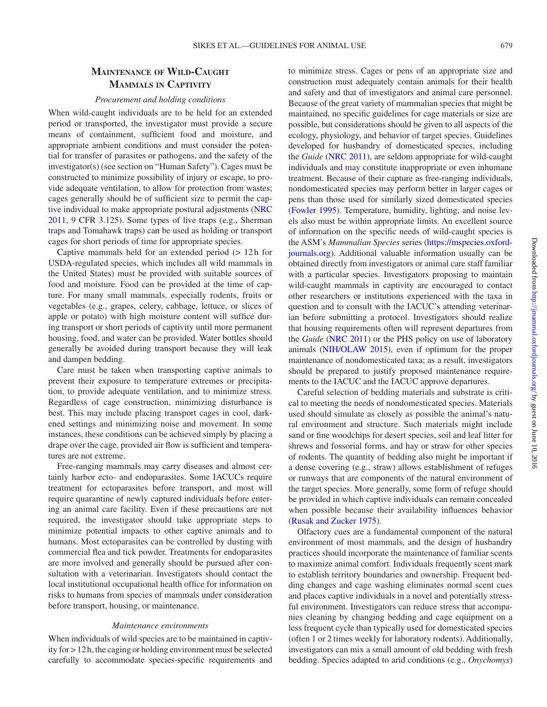# **Maintenance of Wild-Caught Mammals in Captivity**

#### *Procurement and holding conditions*

When wild-caught individuals are to be held for an extended period or transported, the investigator must provide a secure means of containment, sufficient food and moisture, and appropriate ambient conditions and must consider the potential for transfer of parasites or pathogens, and the safety of the investigator(s) (see section on "Human Safety"). Cages must be constructed to minimize possibility of injury or escape, to provide adequate ventilation, to allow for protection from wastes; cages generally should be of sufficient size to permit the captive individual to make appropriate postural adjustments [\(NRC](#page-25-6)  [2011](#page-25-6), 9 CFR 3.125). Some types of live traps (e.g., Sherman traps and Tomahawk traps) can be used as holding or transport cages for short periods of time for appropriate species.

Captive mammals held for an extended period (> 12h for USDA-regulated species, which includes all wild mammals in the United States) must be provided with suitable sources of food and moisture. Food can be provided at the time of capture. For many small mammals, especially rodents, fruits or vegetables (e.g., grapes, celery, cabbage, lettuce, or slices of apple or potato) with high moisture content will suffice during transport or short periods of captivity until more permanent housing, food, and water can be provided. Water bottles should generally be avoided during transport because they will leak and dampen bedding.

Care must be taken when transporting captive animals to prevent their exposure to temperature extremes or precipitation, to provide adequate ventilation, and to minimize stress. Regardless of cage construction, minimizing disturbance is best. This may include placing transport cages in cool, darkened settings and minimizing noise and movement. In some instances, these conditions can be achieved simply by placing a drape over the cage, provided air flow is sufficient and temperatures are not extreme.

Free-ranging mammals may carry diseases and almost certainly harbor ecto- and endoparasites. Some IACUCs require treatment for ectoparasites before transport, and most will require quarantine of newly captured individuals before entering an animal care facility. Even if these precautions are not required, the investigator should take appropriate steps to minimize potential impacts to other captive animals and to humans. Most ectoparasites can be controlled by dusting with commercial flea and tick powder. Treatments for endoparasites are more involved and generally should be pursued after consultation with a veterinarian. Investigators should contact the local institutional occupational health office for information on risks to humans from species of mammals under consideration before transport, housing, or maintenance.

#### *Maintenance environments*

When individuals of wild species are to be maintained in captivity for > 12h, the caging or holding environment must be selected carefully to accommodate species-specific requirements and to minimize stress. Cages or pens of an appropriate size and construction must adequately contain animals for their health and safety and that of investigators and animal care personnel. Because of the great variety of mammalian species that might be maintained, no specific guidelines for cage materials or size are possible, but considerations should be given to all aspects of the ecology, physiology, and behavior of target species. Guidelines developed for husbandry of domesticated species, including the *Guide* ([NRC 2011\)](#page-25-6), are seldom appropriate for wild-caught individuals and may constitute inappropriate or even inhumane treatment. Because of their capture as free-ranging individuals, nondomesticated species may perform better in larger cages or pens than those used for similarly sized domesticated species [\(Fowler 1995\)](#page-24-28). Temperature, humidity, lighting, and noise levels also must be within appropriate limits. An excellent source of information on the specific needs of wild-caught species is the ASM's *Mammalian Species* series [\(https://mspecies.oxford](https://mspecies.oxfordjournals.org)[journals.org](https://mspecies.oxfordjournals.org)). Additional valuable information usually can be obtained directly from investigators or animal care staff familiar with a particular species. Investigators proposing to maintain wild-caught mammals in captivity are encouraged to contact other researchers or institutions experienced with the taxa in question and to consult with the IACUC's attending veterinarian before submitting a protocol. Investigators should realize that housing requirements often will represent departures from the *Guide* ([NRC 2011\)](#page-25-6) or the PHS policy on use of laboratory animals [\(NIH/OLAW 2015](#page-25-9)), even if optimum for the proper maintenance of nondomesticated taxa; as a result, investigators should be prepared to justify proposed maintenance requirements to the IACUC and the IACUC approve departures.

Careful selection of bedding materials and substrate is critical to meeting the needs of nondomesticated species. Materials used should simulate as closely as possible the animal's natural environment and structure. Such materials might include sand or fine woodchips for desert species, soil and leaf litter for shrews and fossorial forms, and hay or straw for other species of rodents. The quantity of bedding also might be important if a dense covering (e.g., straw) allows establishment of refuges or runways that are components of the natural environment of the target species. More generally, some form of refuge should be provided in which captive individuals can remain concealed when possible because their availability influences behavior [\(Rusak and Zucker 1975](#page-25-32)).

Olfactory cues are a fundamental component of the natural environment of most mammals, and the design of husbandry practices should incorporate the maintenance of familiar scents to maximize animal comfort. Individuals frequently scent mark to establish territory boundaries and ownership. Frequent bedding changes and cage washing eliminates normal scent cues and places captive individuals in a novel and potentially stressful environment. Investigators can reduce stress that accompanies cleaning by changing bedding and cage equipment on a less frequent cycle than typically used for domesticated species (often 1 or 2 times weekly for laboratory rodents). Additionally, investigators can mix a small amount of old bedding with fresh bedding. Species adapted to arid conditions (e.g., *Onychomys*)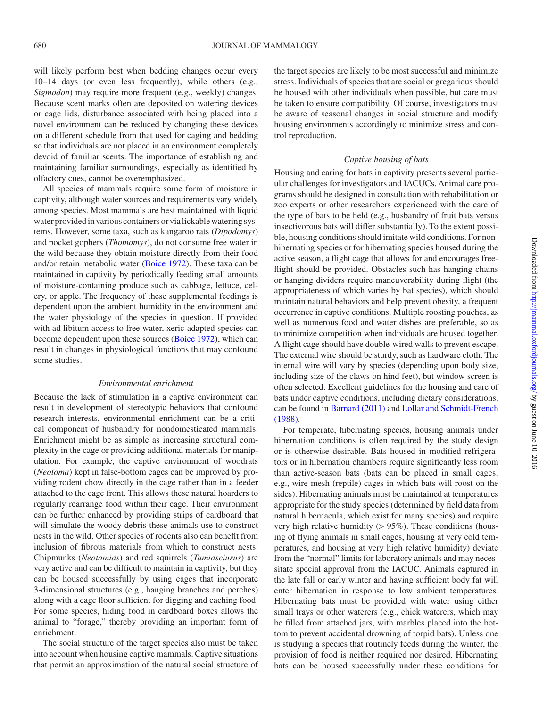will likely perform best when bedding changes occur every 10–14 days (or even less frequently), while others (e.g., *Sigmodon*) may require more frequent (e.g., weekly) changes. Because scent marks often are deposited on watering devices or cage lids, disturbance associated with being placed into a novel environment can be reduced by changing these devices on a different schedule from that used for caging and bedding so that individuals are not placed in an environment completely devoid of familiar scents. The importance of establishing and maintaining familiar surroundings, especially as identified by olfactory cues, cannot be overemphasized.

All species of mammals require some form of moisture in captivity, although water sources and requirements vary widely among species. Most mammals are best maintained with liquid water provided in various containers or via lickable watering systems. However, some taxa, such as kangaroo rats (*Dipodomys*) and pocket gophers (*Thomomys*), do not consume free water in the wild because they obtain moisture directly from their food and/or retain metabolic water [\(Boice 1972](#page-24-29)). These taxa can be maintained in captivity by periodically feeding small amounts of moisture-containing produce such as cabbage, lettuce, celery, or apple. The frequency of these supplemental feedings is dependent upon the ambient humidity in the environment and the water physiology of the species in question. If provided with ad libitum access to free water, xeric-adapted species can become dependent upon these sources ([Boice 1972](#page-24-29)), which can result in changes in physiological functions that may confound some studies.

#### *Environmental enrichment*

Because the lack of stimulation in a captive environment can result in development of stereotypic behaviors that confound research interests, environmental enrichment can be a critical component of husbandry for nondomesticated mammals. Enrichment might be as simple as increasing structural complexity in the cage or providing additional materials for manipulation. For example, the captive environment of woodrats (*Neotoma*) kept in false-bottom cages can be improved by providing rodent chow directly in the cage rather than in a feeder attached to the cage front. This allows these natural hoarders to regularly rearrange food within their cage. Their environment can be further enhanced by providing strips of cardboard that will simulate the woody debris these animals use to construct nests in the wild. Other species of rodents also can benefit from inclusion of fibrous materials from which to construct nests. Chipmunks (*Neotamias*) and red squirrels (*Tamiasciurus*) are very active and can be difficult to maintain in captivity, but they can be housed successfully by using cages that incorporate 3-dimensional structures (e.g., hanging branches and perches) along with a cage floor sufficient for digging and caching food. For some species, hiding food in cardboard boxes allows the animal to "forage," thereby providing an important form of enrichment.

The social structure of the target species also must be taken into account when housing captive mammals. Captive situations that permit an approximation of the natural social structure of the target species are likely to be most successful and minimize stress. Individuals of species that are social or gregarious should be housed with other individuals when possible, but care must be taken to ensure compatibility. Of course, investigators must be aware of seasonal changes in social structure and modify housing environments accordingly to minimize stress and control reproduction.

#### *Captive housing of bats*

Housing and caring for bats in captivity presents several particular challenges for investigators and IACUCs. Animal care programs should be designed in consultation with rehabilitation or zoo experts or other researchers experienced with the care of the type of bats to be held (e.g., husbandry of fruit bats versus insectivorous bats will differ substantially). To the extent possible, housing conditions should imitate wild conditions. For nonhibernating species or for hibernating species housed during the active season, a flight cage that allows for and encourages freeflight should be provided. Obstacles such has hanging chains or hanging dividers require maneuverability during flight (the appropriateness of which varies by bat species), which should maintain natural behaviors and help prevent obesity, a frequent occurrence in captive conditions. Multiple roosting pouches, as well as numerous food and water dishes are preferable, so as to minimize competition when individuals are housed together. A flight cage should have double-wired walls to prevent escape. The external wire should be sturdy, such as hardware cloth. The internal wire will vary by species (depending upon body size, including size of the claws on hind feet), but window screen is often selected. Excellent guidelines for the housing and care of bats under captive conditions, including dietary considerations, can be found in [Barnard \(2011\)](#page-24-30) and [Lollar and Schmidt-French](#page-25-33) [\(1988\).](#page-25-33)

For temperate, hibernating species, housing animals under hibernation conditions is often required by the study design or is otherwise desirable. Bats housed in modified refrigerators or in hibernation chambers require significantly less room than active-season bats (bats can be placed in small cages; e.g., wire mesh (reptile) cages in which bats will roost on the sides). Hibernating animals must be maintained at temperatures appropriate for the study species (determined by field data from natural hibernacula, which exist for many species) and require very high relative humidity (> 95%). These conditions (housing of flying animals in small cages, housing at very cold temperatures, and housing at very high relative humidity) deviate from the "normal" limits for laboratory animals and may necessitate special approval from the IACUC. Animals captured in the late fall or early winter and having sufficient body fat will enter hibernation in response to low ambient temperatures. Hibernating bats must be provided with water using either small trays or other waterers (e.g., chick waterers, which may be filled from attached jars, with marbles placed into the bottom to prevent accidental drowning of torpid bats). Unless one is studying a species that routinely feeds during the winter, the provision of food is neither required nor desired. Hibernating bats can be housed successfully under these conditions for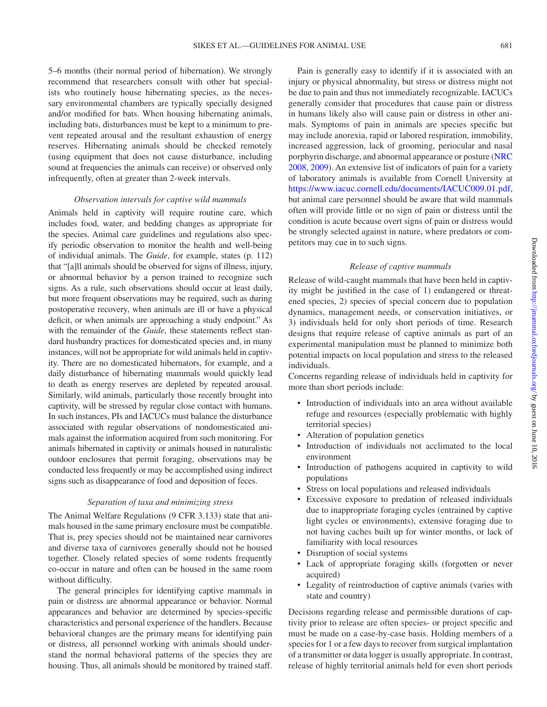5–6 months (their normal period of hibernation). We strongly recommend that researchers consult with other bat specialists who routinely house hibernating species, as the necessary environmental chambers are typically specially designed and/or modified for bats. When housing hibernating animals, including bats, disturbances must be kept to a minimum to prevent repeated arousal and the resultant exhaustion of energy reserves. Hibernating animals should be checked remotely (using equipment that does not cause disturbance, including sound at frequencies the animals can receive) or observed only infrequently, often at greater than 2-week intervals.

#### *Observation intervals for captive wild mammals*

Animals held in captivity will require routine care, which includes food, water, and bedding changes as appropriate for the species. Animal care guidelines and regulations also specify periodic observation to monitor the health and well-being of individual animals. The *Guide*, for example, states (p. 112) that "[a]ll animals should be observed for signs of illness, injury, or abnormal behavior by a person trained to recognize such signs. As a rule, such observations should occur at least daily, but more frequent observations may be required, such as during postoperative recovery, when animals are ill or have a physical deficit, or when animals are approaching a study endpoint." As with the remainder of the *Guide*, these statements reflect standard husbandry practices for domesticated species and, in many instances, will not be appropriate for wild animals held in captivity. There are no domesticated hibernators, for example, and a daily disturbance of hibernating mammals would quickly lead to death as energy reserves are depleted by repeated arousal. Similarly, wild animals, particularly those recently brought into captivity, will be stressed by regular close contact with humans. In such instances, PIs and IACUCs must balance the disturbance associated with regular observations of nondomesticated animals against the information acquired from such monitoring. For animals hibernated in captivity or animals housed in naturalistic outdoor enclosures that permit foraging, observations may be conducted less frequently or may be accomplished using indirect signs such as disappearance of food and deposition of feces.

#### *Separation of taxa and minimizing stress*

The Animal Welfare Regulations (9 CFR 3.133) state that animals housed in the same primary enclosure must be compatible. That is, prey species should not be maintained near carnivores and diverse taxa of carnivores generally should not be housed together. Closely related species of some rodents frequently co-occur in nature and often can be housed in the same room without difficulty.

The general principles for identifying captive mammals in pain or distress are abnormal appearance or behavior. Normal appearances and behavior are determined by species-specific characteristics and personal experience of the handlers. Because behavioral changes are the primary means for identifying pain or distress, all personnel working with animals should understand the normal behavioral patterns of the species they are housing. Thus, all animals should be monitored by trained staff.

Pain is generally easy to identify if it is associated with an injury or physical abnormality, but stress or distress might not be due to pain and thus not immediately recognizable. IACUCs generally consider that procedures that cause pain or distress in humans likely also will cause pain or distress in other animals. Symptoms of pain in animals are species specific but may include anorexia, rapid or labored respiration, immobility, increased aggression, lack of grooming, periocular and nasal porphyrin discharge, and abnormal appearance or posture [\(NRC](#page-25-34)  [2008](#page-25-34), [2009\)](#page-25-35). An extensive list of indicators of pain for a variety of laboratory animals is available from Cornell University at [https://www.iacuc.cornell.edu/documents/IACUC009.01.pdf,](https://www.iacuc.cornell.edu/documents/IACUC009.01.pdf) but animal care personnel should be aware that wild mammals often will provide little or no sign of pain or distress until the condition is acute because overt signs of pain or distress would be strongly selected against in nature, where predators or competitors may cue in to such signs.

#### *Release of captive mammals*

Release of wild-caught mammals that have been held in captivity might be justified in the case of 1) endangered or threatened species, 2) species of special concern due to population dynamics, management needs, or conservation initiatives, or 3) individuals held for only short periods of time. Research designs that require release of captive animals as part of an experimental manipulation must be planned to minimize both potential impacts on local population and stress to the released individuals.

Concerns regarding release of individuals held in captivity for more than short periods include:

- Introduction of individuals into an area without available refuge and resources (especially problematic with highly territorial species)
- Alteration of population genetics
- Introduction of individuals not acclimated to the local environment
- • Introduction of pathogens acquired in captivity to wild populations
- Stress on local populations and released individuals
- Excessive exposure to predation of released individuals due to inappropriate foraging cycles (entrained by captive light cycles or environments), extensive foraging due to not having caches built up for winter months, or lack of familiarity with local resources
- Disruption of social systems
- Lack of appropriate foraging skills (forgotten or never acquired)
- • Legality of reintroduction of captive animals (varies with state and country)

Decisions regarding release and permissible durations of captivity prior to release are often species- or project specific and must be made on a case-by-case basis. Holding members of a species for 1 or a few days to recover from surgical implantation of a transmitter or data logger is usually appropriate. In contrast, release of highly territorial animals held for even short periods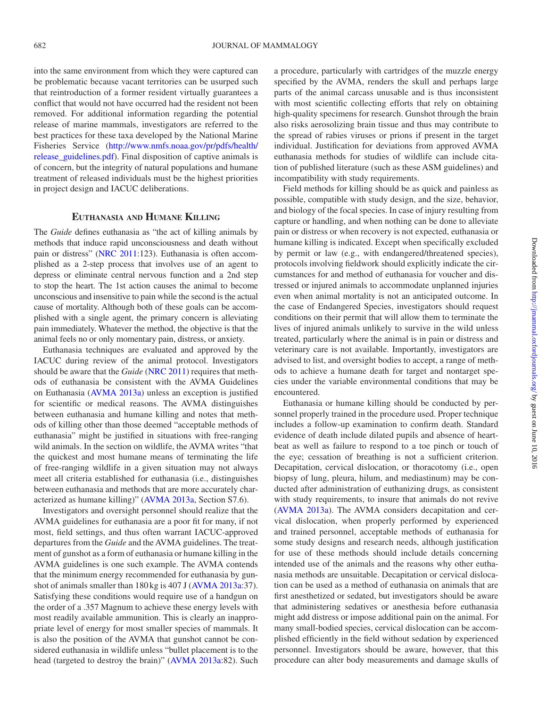into the same environment from which they were captured can be problematic because vacant territories can be usurped such that reintroduction of a former resident virtually guarantees a conflict that would not have occurred had the resident not been removed. For additional information regarding the potential release of marine mammals, investigators are referred to the best practices for these taxa developed by the National Marine Fisheries Service ([http://www.nmfs.noaa.gov/pr/pdfs/health/](http://www.nmfs.noaa.gov/pr/pdfs/health/release_guidelines.pdf) [release\\_guidelines.pdf\)](http://www.nmfs.noaa.gov/pr/pdfs/health/release_guidelines.pdf). Final disposition of captive animals is of concern, but the integrity of natural populations and humane treatment of released individuals must be the highest priorities in project design and IACUC deliberations.

# **Euthanasia and Humane Killing**

The *Guide* defines euthanasia as "the act of killing animals by methods that induce rapid unconsciousness and death without pain or distress" [\(NRC 2011:](#page-25-6)123). Euthanasia is often accomplished as a 2-step process that involves use of an agent to depress or eliminate central nervous function and a 2nd step to stop the heart. The 1st action causes the animal to become unconscious and insensitive to pain while the second is the actual cause of mortality. Although both of these goals can be accomplished with a single agent, the primary concern is alleviating pain immediately. Whatever the method, the objective is that the animal feels no or only momentary pain, distress, or anxiety.

Euthanasia techniques are evaluated and approved by the IACUC during review of the animal protocol. Investigators should be aware that the *Guide* ([NRC 2011\)](#page-25-6) requires that methods of euthanasia be consistent with the AVMA Guidelines on Euthanasia [\(AVMA 2013a](#page-23-2)) unless an exception is justified for scientific or medical reasons. The AVMA distinguishes between euthanasia and humane killing and notes that methods of killing other than those deemed "acceptable methods of euthanasia" might be justified in situations with free-ranging wild animals. In the section on wildlife, the AVMA writes "that the quickest and most humane means of terminating the life of free-ranging wildlife in a given situation may not always meet all criteria established for euthanasia (i.e., distinguishes between euthanasia and methods that are more accurately characterized as humane killing)" [\(AVMA 2013a](#page-23-2), Section S7.6).

Investigators and oversight personnel should realize that the AVMA guidelines for euthanasia are a poor fit for many, if not most, field settings, and thus often warrant IACUC-approved departures from the *Guide* and the AVMA guidelines. The treatment of gunshot as a form of euthanasia or humane killing in the AVMA guidelines is one such example. The AVMA contends that the minimum energy recommended for euthanasia by gunshot of animals smaller than 180 kg is 407 J ([AVMA 2013a](#page-23-2):37). Satisfying these conditions would require use of a handgun on the order of a .357 Magnum to achieve these energy levels with most readily available ammunition. This is clearly an inappropriate level of energy for most smaller species of mammals. It is also the position of the AVMA that gunshot cannot be considered euthanasia in wildlife unless "bullet placement is to the head (targeted to destroy the brain)" ([AVMA 2013a](#page-23-2):82). Such a procedure, particularly with cartridges of the muzzle energy specified by the AVMA, renders the skull and perhaps large parts of the animal carcass unusable and is thus inconsistent with most scientific collecting efforts that rely on obtaining high-quality specimens for research. Gunshot through the brain also risks aerosolizing brain tissue and thus may contribute to the spread of rabies viruses or prions if present in the target individual. Justification for deviations from approved AVMA euthanasia methods for studies of wildlife can include citation of published literature (such as these ASM guidelines) and incompatibility with study requirements.

Field methods for killing should be as quick and painless as possible, compatible with study design, and the size, behavior, and biology of the focal species. In case of injury resulting from capture or handling, and when nothing can be done to alleviate pain or distress or when recovery is not expected, euthanasia or humane killing is indicated. Except when specifically excluded by permit or law (e.g., with endangered/threatened species), protocols involving fieldwork should explicitly indicate the circumstances for and method of euthanasia for voucher and distressed or injured animals to accommodate unplanned injuries even when animal mortality is not an anticipated outcome. In the case of Endangered Species, investigators should request conditions on their permit that will allow them to terminate the lives of injured animals unlikely to survive in the wild unless treated, particularly where the animal is in pain or distress and veterinary care is not available. Importantly, investigators are advised to list, and oversight bodies to accept, a range of methods to achieve a humane death for target and nontarget species under the variable environmental conditions that may be encountered.

Euthanasia or humane killing should be conducted by personnel properly trained in the procedure used. Proper technique includes a follow-up examination to confirm death. Standard evidence of death include dilated pupils and absence of heartbeat as well as failure to respond to a toe pinch or touch of the eye; cessation of breathing is not a sufficient criterion. Decapitation, cervical dislocation, or thoracotomy (i.e., open biopsy of lung, pleura, hilum, and mediastinum) may be conducted after administration of euthanizing drugs, as consistent with study requirements, to insure that animals do not revive [\(AVMA 2013a\)](#page-23-2). The AVMA considers decapitation and cervical dislocation, when properly performed by experienced and trained personnel, acceptable methods of euthanasia for some study designs and research needs, although justification for use of these methods should include details concerning intended use of the animals and the reasons why other euthanasia methods are unsuitable. Decapitation or cervical dislocation can be used as a method of euthanasia on animals that are first anesthetized or sedated, but investigators should be aware that administering sedatives or anesthesia before euthanasia might add distress or impose additional pain on the animal. For many small-bodied species, cervical dislocation can be accomplished efficiently in the field without sedation by experienced personnel. Investigators should be aware, however, that this procedure can alter body measurements and damage skulls of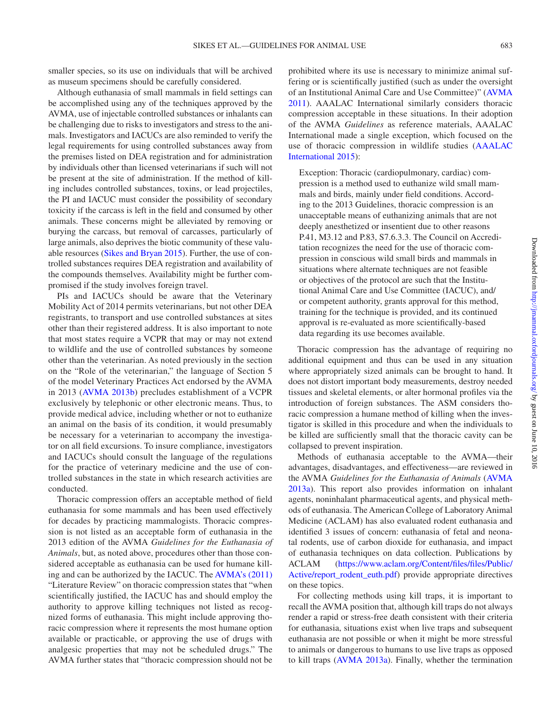smaller species, so its use on individuals that will be archived as museum specimens should be carefully considered.

Although euthanasia of small mammals in field settings can be accomplished using any of the techniques approved by the AVMA, use of injectable controlled substances or inhalants can be challenging due to risks to investigators and stress to the animals. Investigators and IACUCs are also reminded to verify the legal requirements for using controlled substances away from the premises listed on DEA registration and for administration by individuals other than licensed veterinarians if such will not be present at the site of administration. If the method of killing includes controlled substances, toxins, or lead projectiles, the PI and IACUC must consider the possibility of secondary toxicity if the carcass is left in the field and consumed by other animals. These concerns might be alleviated by removing or burying the carcass, but removal of carcasses, particularly of large animals, also deprives the biotic community of these valuable resources ([Sikes and Bryan 2015](#page-25-4)). Further, the use of controlled substances requires DEA registration and availability of the compounds themselves. Availability might be further compromised if the study involves foreign travel.

PIs and IACUCs should be aware that the Veterinary Mobility Act of 2014 permits veterinarians, but not other DEA registrants, to transport and use controlled substances at sites other than their registered address. It is also important to note that most states require a VCPR that may or may not extend to wildlife and the use of controlled substances by someone other than the veterinarian. As noted previously in the section on the "Role of the veterinarian," the language of Section 5 of the model Veterinary Practices Act endorsed by the AVMA in 2013 [\(AVMA 2013b\)](#page-24-2) precludes establishment of a VCPR exclusively by telephonic or other electronic means. Thus, to provide medical advice, including whether or not to euthanize an animal on the basis of its condition, it would presumably be necessary for a veterinarian to accompany the investigator on all field excursions. To insure compliance, investigators and IACUCs should consult the language of the regulations for the practice of veterinary medicine and the use of controlled substances in the state in which research activities are conducted.

Thoracic compression offers an acceptable method of field euthanasia for some mammals and has been used effectively for decades by practicing mammalogists. Thoracic compression is not listed as an acceptable form of euthanasia in the 2013 edition of the AVMA *Guidelines for the Euthanasia of Animals*, but, as noted above, procedures other than those considered acceptable as euthanasia can be used for humane killing and can be authorized by the IACUC. The [AVMA's \(2011\)](#page-23-3) "Literature Review" on thoracic compression states that "when scientifically justified, the IACUC has and should employ the authority to approve killing techniques not listed as recognized forms of euthanasia. This might include approving thoracic compression where it represents the most humane option available or practicable, or approving the use of drugs with analgesic properties that may not be scheduled drugs." The AVMA further states that "thoracic compression should not be prohibited where its use is necessary to minimize animal suffering or is scientifically justified (such as under the oversight of an Institutional Animal Care and Use Committee)" ([AVMA](#page-23-3) [2011](#page-23-3)). AAALAC International similarly considers thoracic compression acceptable in these situations. In their adoption of the AVMA *Guidelines* as reference materials, AAALAC International made a single exception, which focused on the use of thoracic compression in wildlife studies [\(AAALAC](#page-23-4)  [International 2015](#page-23-4)):

Exception: Thoracic (cardiopulmonary, cardiac) compression is a method used to euthanize wild small mammals and birds, mainly under field conditions. According to the 2013 Guidelines, thoracic compression is an unacceptable means of euthanizing animals that are not deeply anesthetized or insentient due to other reasons P.41, M3.12 and P.83, S7.6.3.3. The Council on Accreditation recognizes the need for the use of thoracic compression in conscious wild small birds and mammals in situations where alternate techniques are not feasible or objectives of the protocol are such that the Institutional Animal Care and Use Committee (IACUC), and/ or competent authority, grants approval for this method, training for the technique is provided, and its continued approval is re-evaluated as more scientifically-based data regarding its use becomes available.

Thoracic compression has the advantage of requiring no additional equipment and thus can be used in any situation where appropriately sized animals can be brought to hand. It does not distort important body measurements, destroy needed tissues and skeletal elements, or alter hormonal profiles via the introduction of foreign substances. The ASM considers thoracic compression a humane method of killing when the investigator is skilled in this procedure and when the individuals to be killed are sufficiently small that the thoracic cavity can be collapsed to prevent inspiration.

Methods of euthanasia acceptable to the AVMA—their advantages, disadvantages, and effectiveness—are reviewed in the AVMA *Guidelines for the Euthanasia of Animals* ([AVMA](#page-23-2)  [2013a](#page-23-2)). This report also provides information on inhalant agents, noninhalant pharmaceutical agents, and physical methods of euthanasia. The American College of Laboratory Animal Medicine (ACLAM) has also evaluated rodent euthanasia and identified 3 issues of concern: euthanasia of fetal and neonatal rodents, use of carbon dioxide for euthanasia, and impact of euthanasia techniques on data collection. Publications by ACLAM ([https://www.aclam.org/Content/files/files/Public/](https://www.aclam.org/Content/files/files/Public/Active/report_rodent_euth.pdf) [Active/report\\_rodent\\_euth.pdf\)](https://www.aclam.org/Content/files/files/Public/Active/report_rodent_euth.pdf) provide appropriate directives on these topics.

For collecting methods using kill traps, it is important to recall the AVMA position that, although kill traps do not always render a rapid or stress-free death consistent with their criteria for euthanasia, situations exist when live traps and subsequent euthanasia are not possible or when it might be more stressful to animals or dangerous to humans to use live traps as opposed to kill traps ([AVMA 2013a\)](#page-23-2). Finally, whether the termination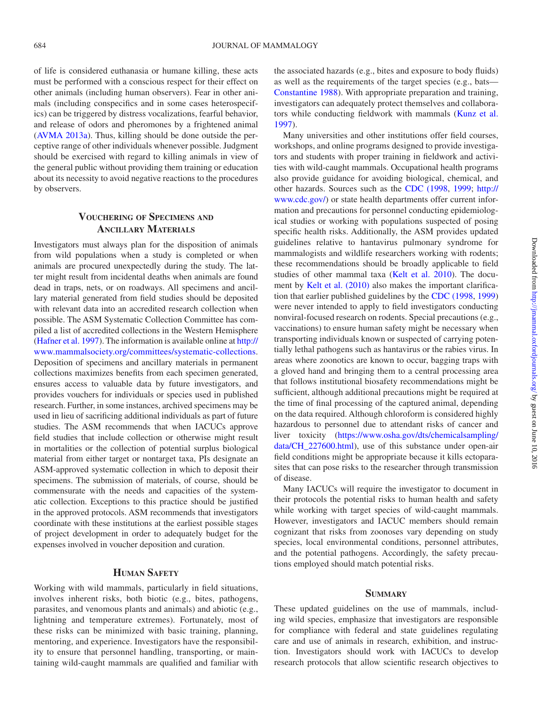of life is considered euthanasia or humane killing, these acts must be performed with a conscious respect for their effect on other animals (including human observers). Fear in other animals (including conspecifics and in some cases heterospecifics) can be triggered by distress vocalizations, fearful behavior, and release of odors and pheromones by a frightened animal [\(AVMA 2013a\)](#page-23-2). Thus, killing should be done outside the perceptive range of other individuals whenever possible. Judgment should be exercised with regard to killing animals in view of the general public without providing them training or education about its necessity to avoid negative reactions to the procedures by observers.

# **Vouchering of Specimens and Ancillary Materials**

Investigators must always plan for the disposition of animals from wild populations when a study is completed or when animals are procured unexpectedly during the study. The latter might result from incidental deaths when animals are found dead in traps, nets, or on roadways. All specimens and ancillary material generated from field studies should be deposited with relevant data into an accredited research collection when possible. The ASM Systematic Collection Committee has compiled a list of accredited collections in the Western Hemisphere [\(Hafner et](#page-24-31) al. 1997). The information is available online at [http://](http://www.mammalsociety.org/committees/systematic-collections ) [www.mammalsociety.org/committees/systematic-collections](http://www.mammalsociety.org/committees/systematic-collections ). Deposition of specimens and ancillary materials in permanent collections maximizes benefits from each specimen generated, ensures access to valuable data by future investigators, and provides vouchers for individuals or species used in published research. Further, in some instances, archived specimens may be used in lieu of sacrificing additional individuals as part of future studies. The ASM recommends that when IACUCs approve field studies that include collection or otherwise might result in mortalities or the collection of potential surplus biological material from either target or nontarget taxa, PIs designate an ASM-approved systematic collection in which to deposit their specimens. The submission of materials, of course, should be commensurate with the needs and capacities of the systematic collection. Exceptions to this practice should be justified in the approved protocols. ASM recommends that investigators coordinate with these institutions at the earliest possible stages of project development in order to adequately budget for the expenses involved in voucher deposition and curation.

# **Human Safety**

Working with wild mammals, particularly in field situations, involves inherent risks, both biotic (e.g., bites, pathogens, parasites, and venomous plants and animals) and abiotic (e.g., lightning and temperature extremes). Fortunately, most of these risks can be minimized with basic training, planning, mentoring, and experience. Investigators have the responsibility to ensure that personnel handling, transporting, or maintaining wild-caught mammals are qualified and familiar with the associated hazards (e.g., bites and exposure to body fluids) as well as the requirements of the target species (e.g., bats— [Constantine 1988](#page-24-32)). With appropriate preparation and training, investigators can adequately protect themselves and collaborators while conducting fieldwork with mammals ([Kunz et](#page-25-36) al. [1997](#page-25-36)).

Many universities and other institutions offer field courses, workshops, and online programs designed to provide investigators and students with proper training in fieldwork and activities with wild-caught mammals. Occupational health programs also provide guidance for avoiding biological, chemical, and other hazards. Sources such as the [CDC \(1998](#page-24-33), [1999;](#page-24-34) [http://](http://www.cdc.gov/) [www.cdc.gov/\)](http://www.cdc.gov/) or state health departments offer current information and precautions for personnel conducting epidemiological studies or working with populations suspected of posing specific health risks. Additionally, the ASM provides updated guidelines relative to hantavirus pulmonary syndrome for mammalogists and wildlife researchers working with rodents; these recommendations should be broadly applicable to field studies of other mammal taxa (Kelt et [al. 2010\)](#page-24-35). The document by Kelt et [al. \(2010\)](#page-24-35) also makes the important clarification that earlier published guidelines by the [CDC \(1998,](#page-24-33) [1999\)](#page-24-34) were never intended to apply to field investigators conducting nonviral-focused research on rodents. Special precautions (e.g., vaccinations) to ensure human safety might be necessary when transporting individuals known or suspected of carrying potentially lethal pathogens such as hantavirus or the rabies virus. In areas where zoonotics are known to occur, bagging traps with a gloved hand and bringing them to a central processing area that follows institutional biosafety recommendations might be sufficient, although additional precautions might be required at the time of final processing of the captured animal, depending on the data required. Although chloroform is considered highly hazardous to personnel due to attendant risks of cancer and liver toxicity [\(https://www.osha.gov/dts/chemicalsampling/](https://www.osha.gov/dts/chemicalsampling/data/CH_227600.html) [data/CH\\_227600.html](https://www.osha.gov/dts/chemicalsampling/data/CH_227600.html)), use of this substance under open-air field conditions might be appropriate because it kills ectoparasites that can pose risks to the researcher through transmission of disease.

Many IACUCs will require the investigator to document in their protocols the potential risks to human health and safety while working with target species of wild-caught mammals. However, investigators and IACUC members should remain cognizant that risks from zoonoses vary depending on study species, local environmental conditions, personnel attributes, and the potential pathogens. Accordingly, the safety precautions employed should match potential risks.

# **Summary**

These updated guidelines on the use of mammals, including wild species, emphasize that investigators are responsible for compliance with federal and state guidelines regulating care and use of animals in research, exhibition, and instruction. Investigators should work with IACUCs to develop research protocols that allow scientific research objectives to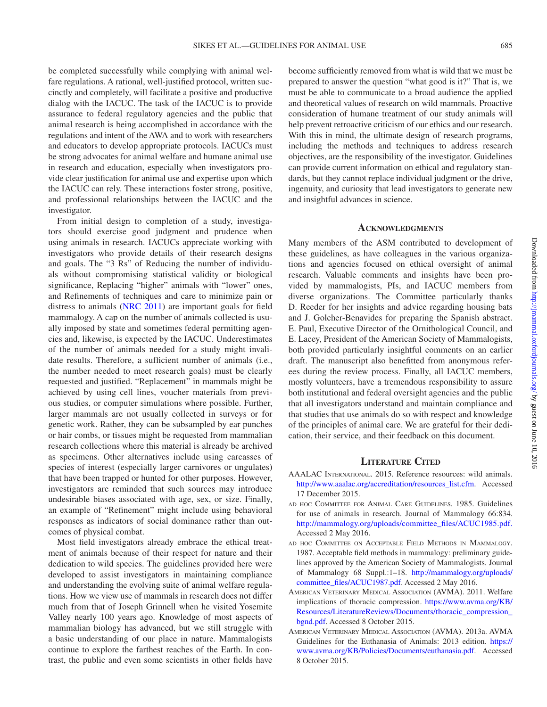be completed successfully while complying with animal welfare regulations. A rational, well-justified protocol, written succinctly and completely, will facilitate a positive and productive dialog with the IACUC. The task of the IACUC is to provide assurance to federal regulatory agencies and the public that animal research is being accomplished in accordance with the regulations and intent of the AWA and to work with researchers and educators to develop appropriate protocols. IACUCs must be strong advocates for animal welfare and humane animal use in research and education, especially when investigators provide clear justification for animal use and expertise upon which the IACUC can rely. These interactions foster strong, positive, and professional relationships between the IACUC and the investigator.

From initial design to completion of a study, investigators should exercise good judgment and prudence when using animals in research. IACUCs appreciate working with investigators who provide details of their research designs and goals. The "3 Rs" of Reducing the number of individuals without compromising statistical validity or biological significance, Replacing "higher" animals with "lower" ones, and Refinements of techniques and care to minimize pain or distress to animals [\(NRC 2011\)](#page-25-6) are important goals for field mammalogy. A cap on the number of animals collected is usually imposed by state and sometimes federal permitting agencies and, likewise, is expected by the IACUC. Underestimates of the number of animals needed for a study might invalidate results. Therefore, a sufficient number of animals (i.e., the number needed to meet research goals) must be clearly requested and justified. "Replacement" in mammals might be achieved by using cell lines, voucher materials from previous studies, or computer simulations where possible. Further, larger mammals are not usually collected in surveys or for genetic work. Rather, they can be subsampled by ear punches or hair combs, or tissues might be requested from mammalian research collections where this material is already be archived as specimens. Other alternatives include using carcasses of species of interest (especially larger carnivores or ungulates) that have been trapped or hunted for other purposes. However, investigators are reminded that such sources may introduce undesirable biases associated with age, sex, or size. Finally, an example of "Refinement" might include using behavioral responses as indicators of social dominance rather than outcomes of physical combat.

Most field investigators already embrace the ethical treatment of animals because of their respect for nature and their dedication to wild species. The guidelines provided here were developed to assist investigators in maintaining compliance and understanding the evolving suite of animal welfare regulations. How we view use of mammals in research does not differ much from that of Joseph Grinnell when he visited Yosemite Valley nearly 100 years ago. Knowledge of most aspects of mammalian biology has advanced, but we still struggle with a basic understanding of our place in nature. Mammalogists continue to explore the farthest reaches of the Earth. In contrast, the public and even some scientists in other fields have

become sufficiently removed from what is wild that we must be prepared to answer the question "what good is it?" That is, we must be able to communicate to a broad audience the applied and theoretical values of research on wild mammals. Proactive consideration of humane treatment of our study animals will help prevent retroactive criticism of our ethics and our research. With this in mind, the ultimate design of research programs, including the methods and techniques to address research objectives, are the responsibility of the investigator. Guidelines can provide current information on ethical and regulatory standards, but they cannot replace individual judgment or the drive, ingenuity, and curiosity that lead investigators to generate new and insightful advances in science.

#### **Acknowledgments**

Many members of the ASM contributed to development of these guidelines, as have colleagues in the various organizations and agencies focused on ethical oversight of animal research. Valuable comments and insights have been provided by mammalogists, PIs, and IACUC members from diverse organizations. The Committee particularly thanks D. Reeder for her insights and advice regarding housing bats and J. Golcher-Benavides for preparing the Spanish abstract. E. Paul, Executive Director of the Ornithological Council, and E. Lacey, President of the American Society of Mammalogists, both provided particularly insightful comments on an earlier draft. The manuscript also benefitted from anonymous referees during the review process. Finally, all IACUC members, mostly volunteers, have a tremendous responsibility to assure both institutional and federal oversight agencies and the public that all investigators understand and maintain compliance and that studies that use animals do so with respect and knowledge of the principles of animal care. We are grateful for their dedication, their service, and their feedback on this document.

#### **Literature Cited**

- <span id="page-23-4"></span>AAALAC International. 2015. Reference resources: wild animals. [http://www.aaalac.org/accreditation/resources\\_list.cfm.](http://www.aaalac.org/accreditation/resources_list.cfm) Accessed 17 December 2015.
- <span id="page-23-0"></span>ad hoc Committee for Animal Care Guidelines. 1985. Guidelines for use of animals in research. Journal of Mammalogy 66:834. [http://mammalogy.org/uploads/committee\\_files/ACUC1985.pdf.](http://mammalogy.org/uploads/committee_files/ACUC1985.pdf) Accessed 2 May 2016.
- <span id="page-23-1"></span>ad hoc Committee on Acceptable Field Methods in Mammalogy. 1987. Acceptable field methods in mammalogy: preliminary guidelines approved by the American Society of Mammalogists. Journal of Mammalogy 68 Suppl.:1–18. [http://mammalogy.org/uploads/](http://mammalogy.org/uploads/committee_files/ACUC1987.pdf) [committee\\_files/ACUC1987.pdf.](http://mammalogy.org/uploads/committee_files/ACUC1987.pdf) Accessed 2 May 2016.
- <span id="page-23-3"></span>American Veterinary Medical Association (AVMA). 2011. Welfare implications of thoracic compression. [https://www.avma.org/KB/](https://www.avma.org/KB/Resources/LiteratureReviews/Documents/thoracic_compression_bgnd.pdf) [Resources/LiteratureReviews/Documents/thoracic\\_compression\\_](https://www.avma.org/KB/Resources/LiteratureReviews/Documents/thoracic_compression_bgnd.pdf) [bgnd.pdf.](https://www.avma.org/KB/Resources/LiteratureReviews/Documents/thoracic_compression_bgnd.pdf) Accessed 8 October 2015.
- <span id="page-23-2"></span>American Veterinary Medical Association (AVMA). 2013a. AVMA Guidelines for the Euthanasia of Animals: 2013 edition. [https://](https://www.avma.org/KB/Policies/Documents/euthanasia.pdf) [www.avma.org/KB/Policies/Documents/euthanasia.pdf.](https://www.avma.org/KB/Policies/Documents/euthanasia.pdf) Accessed 8 October 2015.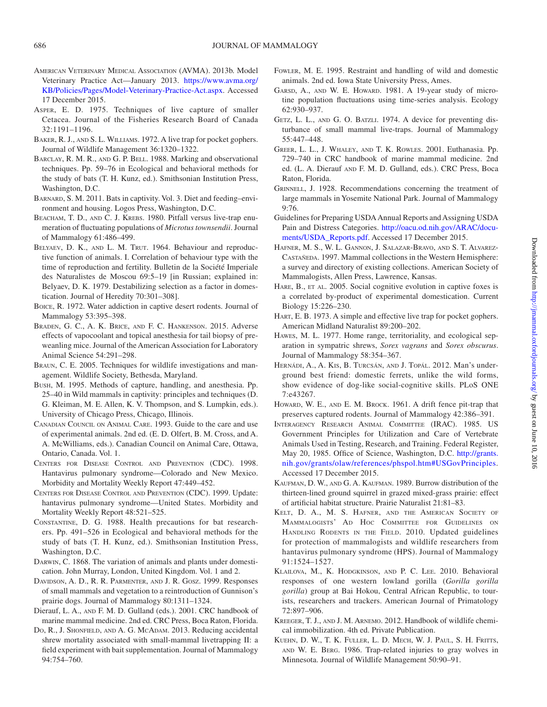- <span id="page-24-2"></span>American Veterinary Medical Association (AVMA). 2013b. Model Veterinary Practice Act—January 2013. [https://www.avma.org/](https://www.avma.org/KB/Policies/Pages/Model-Veterinary-Practice-Act.aspx) [KB/Policies/Pages/Model-Veterinary-Practice-Act.aspx](https://www.avma.org/KB/Policies/Pages/Model-Veterinary-Practice-Act.aspx). Accessed 17 December 2015.
- <span id="page-24-21"></span>Asper, E. D. 1975. Techniques of live capture of smaller Cetacea. Journal of the Fisheries Research Board of Canada 32:1191–1196.
- <span id="page-24-8"></span>BAKER, R. J., AND S. L. WILLIAMS. 1972. A live trap for pocket gophers. Journal of Wildlife Management 36:1320–1322.
- <span id="page-24-24"></span>BARCLAY, R. M. R., AND G. P. BELL. 1988. Marking and observational techniques. Pp. 59–76 in Ecological and behavioral methods for the study of bats (T. H. Kunz, ed.). Smithsonian Institution Press, Washington, D.C.
- <span id="page-24-30"></span>Barnard, S. M. 2011. Bats in captivity. Vol. 3. Diet and feeding–environment and housing. Logos Press, Washington, D.C.
- <span id="page-24-18"></span>BEACHAM, T. D., AND C. J. KREBS. 1980. Pitfall versus live-trap enumeration of fluctuating populations of *Microtus townsendii*. Journal of Mammalogy 61:486–499.
- <span id="page-24-6"></span>BELYAEV, D. K., AND L. M. TRUT. 1964. Behaviour and reproductive function of animals. I. Correlation of behaviour type with the time of reproduction and fertility. Bulletin de la Société Imperiale des Naturalistes de Moscou 69:5–19 [in Russian; explained in: Belyaev, D. K. 1979. Destabilizing selection as a factor in domestication. Journal of Heredity 70:301–308].
- <span id="page-24-29"></span>Boice, R. 1972. Water addiction in captive desert rodents. Journal of Mammalogy 53:395–398.
- <span id="page-24-25"></span>Braden, G. C., A. K. Brice, and F. C. Hankenson. 2015. Adverse effects of vapocoolant and topical anesthesia for tail biopsy of preweanling mice. Journal of the American Association for Laboratory Animal Science 54:291–298.
- <span id="page-24-16"></span>Braun, C. E. 2005. Techniques for wildlife investigations and management. Wildlife Society, Bethesda, Maryland.
- <span id="page-24-27"></span>Bush, M. 1995. Methods of capture, handling, and anesthesia. Pp. 25–40 in Wild mammals in captivity: principles and techniques (D. G. Kleiman, M. E. Allen, K. V. Thompson, and S. Lumpkin, eds.). University of Chicago Press, Chicago, Illinois.
- <span id="page-24-1"></span>Canadian Council on Animal Care. 1993. Guide to the care and use of experimental animals. 2nd ed. (E. D. Olfert, B. M. Cross, and A. A. McWilliams, eds.). Canadian Council on Animal Care, Ottawa, Ontario, Canada. Vol. 1.
- <span id="page-24-33"></span>Centers for Disease Control and Prevention (CDC). 1998. Hantavirus pulmonary syndrome—Colorado and New Mexico. Morbidity and Mortality Weekly Report 47:449–452.
- <span id="page-24-34"></span>Centers for Disease Control and Prevention (CDC). 1999. Update: hantavirus pulmonary syndrome—United States. Morbidity and Mortality Weekly Report 48:521–525.
- <span id="page-24-32"></span>Constantine, D. G. 1988. Health precautions for bat researchers. Pp. 491–526 in Ecological and behavioral methods for the study of bats (T. H. Kunz, ed.). Smithsonian Institution Press, Washington, D.C.
- <span id="page-24-3"></span>Darwin, C. 1868. The variation of animals and plants under domestication. John Murray, London, United Kingdom. Vol. 1 and 2.
- <span id="page-24-15"></span>Davidson, A. D., R. R. Parmenter, and J. R. Gosz. 1999. Responses of small mammals and vegetation to a reintroduction of Gunnison's prairie dogs. Journal of Mammalogy 80:1311–1324.
- <span id="page-24-22"></span>Dierauf, L. A., and F. M. D. Gulland (eds.). 2001. CRC handbook of marine mammal medicine. 2nd ed. CRC Press, Boca Raton, Florida.
- <span id="page-24-13"></span>Do, R., J. SHONFIELD, AND A. G. McADAM. 2013. Reducing accidental shrew mortality associated with small-mammal livetrapping II: a field experiment with bait supplementation. Journal of Mammalogy 94:754–760.
- <span id="page-24-28"></span>Fowler, M. E. 1995. Restraint and handling of wild and domestic animals. 2nd ed. Iowa State University Press, Ames.
- <span id="page-24-19"></span>GARSD, A., AND W. E. Howard. 1981. A 19-year study of microtine population fluctuations using time-series analysis. Ecology 62:930–937.
- <span id="page-24-14"></span>GETZ, L. L., AND G. O. BATZLI. 1974. A device for preventing disturbance of small mammal live-traps. Journal of Mammalogy 55:447–448.
- <span id="page-24-23"></span>Greer, L. L., J. Whaley, and T. K. Rowles. 2001. Euthanasia. Pp. 729–740 in CRC handbook of marine mammal medicine. 2nd ed. (L. A. Dierauf and F. M. D. Gulland, eds.). CRC Press, Boca Raton, Florida.
- <span id="page-24-0"></span>Grinnell, J. 1928. Recommendations concerning the treatment of large mammals in Yosemite National Park. Journal of Mammalogy 9:76.
- Guidelines for Preparing USDA Annual Reports and Assigning USDA Pain and Distress Categories. [http://oacu.od.nih.gov/ARAC/docu](http://oacu.od.nih.gov/ARAC/documents/USDA_Reports.pdf)[ments/USDA\\_Reports.pdf.](http://oacu.od.nih.gov/ARAC/documents/USDA_Reports.pdf) Accessed 17 December 2015.
- <span id="page-24-31"></span>Hafner, M. S., W. L. Gannon, J. Salazar-Bravo, and S. T. Alvarez-CASTAÑEDA. 1997. Mammal collections in the Western Hemisphere: a survey and directory of existing collections. American Society of Mammalogists, Allen Press, Lawrence, Kansas.
- <span id="page-24-4"></span>HARE, B., ET AL. 2005. Social cognitive evolution in captive foxes is a correlated by-product of experimental domestication. Current Biology 15:226–230.
- <span id="page-24-9"></span>HART, E. B. 1973. A simple and effective live trap for pocket gophers. American Midland Naturalist 89:200–202.
- <span id="page-24-12"></span>Hawes, M. L. 1977. Home range, territoriality, and ecological separation in sympatric shrews, *Sorex vagrans* and *Sorex obscurus*. Journal of Mammalogy 58:354–367.
- <span id="page-24-5"></span>Hernádi, A., A. Kis, B. Turcsán, and J. Topál. 2012. Man's underground best friend: domestic ferrets, unlike the wild forms, show evidence of dog-like social-cognitive skills. PLoS ONE 7:e43267.
- <span id="page-24-20"></span>HOWARD, W. E., AND E. M. BROCK. 1961. A drift fence pit-trap that preserves captured rodents. Journal of Mammalogy 42:386–391.
- <span id="page-24-26"></span>Interagency Research Animal Committee (IRAC). 1985. US Government Principles for Utilization and Care of Vertebrate Animals Used in Testing, Research, and Training. Federal Register, May 20, 1985. Office of Science, Washington, D.C. [http://grants.](http://grants.nih.gov/grants/olaw/references/phspol.htm#USGovPrinciples) [nih.gov/grants/olaw/references/phspol.htm#USGovPrinciples.](http://grants.nih.gov/grants/olaw/references/phspol.htm#USGovPrinciples) Accessed 17 December 2015.
- <span id="page-24-10"></span>Kaufman, D. W., and G. A. Kaufman. 1989. Burrow distribution of the thirteen-lined ground squirrel in grazed mixed-grass prairie: effect of artificial habitat structure. Prairie Naturalist 21:81–83.
- <span id="page-24-35"></span>Kelt, D. A., M. S. Hafner, and the American Society of Mammalogists' Ad Hoc Committee for Guidelines on HANDLING RODENTS IN THE FIELD. 2010. Updated guidelines for protection of mammalogists and wildlife researchers from hantavirus pulmonary syndrome (HPS). Journal of Mammalogy 91:1524–1527.
- <span id="page-24-7"></span>Klailova, M., K. Hodgkinson, and P. C. Lee. 2010. Behavioral responses of one western lowland gorilla (*Gorilla gorilla gorilla*) group at Bai Hokou, Central African Republic, to tourists, researchers and trackers. American Journal of Primatology 72:897–906.
- <span id="page-24-17"></span>Kreeger, T. J., and J. M. Arnemo. 2012. Handbook of wildlife chemical immobilization. 4th ed. Private Publication.
- <span id="page-24-11"></span>KUEHN, D. W., T. K. FULLER, L. D. MECH, W. J. PAUL, S. H. FRITTS, and W. E. Berg. 1986. Trap-related injuries to gray wolves in Minnesota. Journal of Wildlife Management 50:90–91.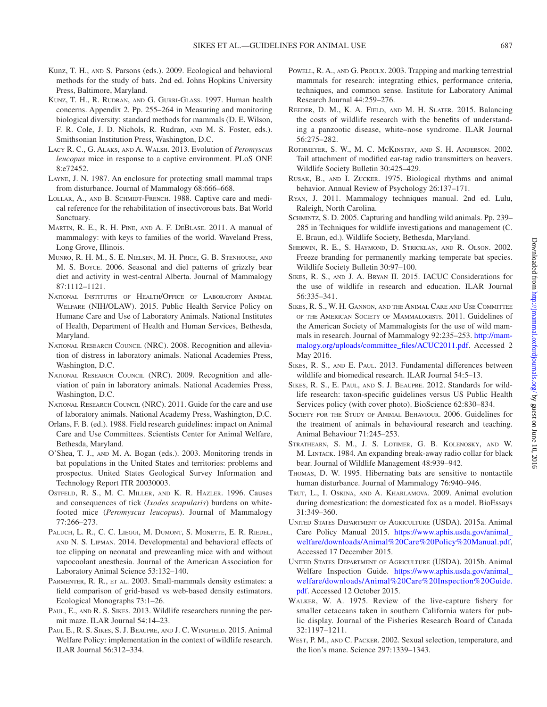- <span id="page-25-14"></span>Kunz, T. H., and S. Parsons (eds.). 2009. Ecological and behavioral methods for the study of bats. 2nd ed. Johns Hopkins University Press, Baltimore, Maryland.
- <span id="page-25-36"></span>Kunz, T. H., R. Rudran, and G. Gurri-Glass. 1997. Human health concerns. Appendix 2. Pp. 255–264 in Measuring and monitoring biological diversity: standard methods for mammals (D. E. Wilson, F. R. Cole, J. D. Nichols, R. Rudran, and M. S. Foster, eds.). Smithsonian Institution Press, Washington, D.C.
- <span id="page-25-10"></span>Lacy R. C., G. Alaks, and A. Walsh. 2013. Evolution of *Peromyscus leucopus* mice in response to a captive environment. PLoS ONE 8:e72452.
- <span id="page-25-19"></span>Layne, J. N. 1987. An enclosure for protecting small mammal traps from disturbance. Journal of Mammalogy 68:666–668.
- <span id="page-25-33"></span>LOLLAR, A., AND B. SCHMIDT-FRENCH. 1988. Captive care and medical reference for the rehabilitation of insectivorous bats. Bat World Sanctuary.
- <span id="page-25-15"></span>Martin, R. E., R. H. Pine, and A. F. DeBlase. 2011. A manual of mammalogy: with keys to families of the world. Waveland Press, Long Grove, Illinois.
- <span id="page-25-30"></span>Munro, R. H. M., S. E. Nielsen, M. H. Price, G. B. Stenhouse, and M. S. Boyce. 2006. Seasonal and diel patterns of grizzly bear diet and activity in west-central Alberta. Journal of Mammalogy 87:1112–1121.
- <span id="page-25-9"></span>National Institutes of Health/Office of Laboratory Animal Welfare (NIH/OLAW). 2015. Public Health Service Policy on Humane Care and Use of Laboratory Animals. National Institutes of Health, Department of Health and Human Services, Bethesda, Maryland.
- <span id="page-25-34"></span>NATIONAL RESEARCH COUNCIL (NRC). 2008. Recognition and alleviation of distress in laboratory animals. National Academies Press, Washington, D.C.
- <span id="page-25-35"></span>NATIONAL RESEARCH COUNCIL (NRC). 2009. Recognition and alleviation of pain in laboratory animals. National Academies Press, Washington, D.C.
- <span id="page-25-6"></span>NATIONAL RESEARCH COUNCIL (NRC). 2011. Guide for the care and use of laboratory animals. National Academy Press, Washington, D.C.
- <span id="page-25-1"></span>Orlans, F. B. (ed.). 1988. Field research guidelines: impact on Animal Care and Use Committees. Scientists Center for Animal Welfare, Bethesda, Maryland.
- <span id="page-25-20"></span>O'Shea, T. J., and M. A. Bogan (eds.). 2003. Monitoring trends in bat populations in the United States and territories: problems and prospectus. United States Geological Survey Information and Technology Report ITR 20030003.
- <span id="page-25-27"></span>Ostfeld, R. S., M. C. Miller, and K. R. Hazler. 1996. Causes and consequences of tick (*Ixodes scapularis*) burdens on whitefooted mice (*Peromyscus leucopus*). Journal of Mammalogy 77:266–273.
- <span id="page-25-28"></span>PALUCH, L. R., C. C. LIEGGI, M. DUMONT, S. MONETTE, E. R. RIEDEL, and N. S. Lipman. 2014. Developmental and behavioral effects of toe clipping on neonatal and preweanling mice with and without vapocoolant anesthesia. Journal of the American Association for Laboratory Animal Science 53:132–140.
- <span id="page-25-17"></span>PARMENTER, R. R., ET AL. 2003. Small-mammals density estimates: a field comparison of grid-based vs web-based density estimators. Ecological Monographs 73:1–26.
- <span id="page-25-7"></span>PAUL, E., AND R. S. SIKES. 2013. Wildlife researchers running the permit maze. ILAR Journal 54:14–23.
- <span id="page-25-8"></span>PAUL E., R. S. SIKES, S. J. BEAUPRE, AND J. C. WINGFIELD. 2015. Animal Welfare Policy: implementation in the context of wildlife research. ILAR Journal 56:312–334.
- <span id="page-25-23"></span>POWELL, R. A., AND G. PROULX. 2003. Trapping and marking terrestrial mammals for research: integrating ethics, performance criteria, techniques, and common sense. Institute for Laboratory Animal Research Journal 44:259–276.
- <span id="page-25-22"></span>Reeder, D. M., K. A. Field, and M. H. Slater. 2015. Balancing the costs of wildlife research with the benefits of understanding a panzootic disease, white–nose syndrome. ILAR Journal 56:275–282.
- <span id="page-25-29"></span>Rothmeyer, S. W., M. C. McKinstry, and S. H. Anderson. 2002. Tail attachment of modified ear-tag radio transmitters on beavers. Wildlife Society Bulletin 30:425–429.
- <span id="page-25-32"></span>Rusak, B., and I. Zucker. 1975. Biological rhythms and animal behavior. Annual Review of Psychology 26:137–171.
- <span id="page-25-16"></span>Ryan, J. 2011. Mammalogy techniques manual. 2nd ed. Lulu, Raleigh, North Carolina.
- <span id="page-25-18"></span>SCHMINTZ, S. D. 2005. Capturing and handling wild animals. Pp. 239– 285 in Techniques for wildlife investigations and management (C. E. Braun, ed.). Wildlife Society, Bethesda, Maryland.
- <span id="page-25-26"></span>SHERWIN, R. E., S. HAYMOND, D. STRICKLAN, AND R. OLSON. 2002. Freeze branding for permanently marking temperate bat species. Wildlife Society Bulletin 30:97–100.
- <span id="page-25-4"></span>Sikes, R. S., and J. A. Bryan II. 2015. IACUC Considerations for the use of wildlife in research and education. ILAR Journal 56:335–341.
- <span id="page-25-0"></span>Sikes, R. S., W. H. Gannon, and the Animal Care and Use Committee of the American Society of Mammalogists. 2011. Guidelines of the American Society of Mammalogists for the use of wild mammals in research. Journal of Mammalogy 92:235–253. [http://mam](http://mammalogy.org/uploads/committee_files/ACUC2011.pdf)[malogy.org/uploads/committee\\_files/ACUC2011.pdf](http://mammalogy.org/uploads/committee_files/ACUC2011.pdf). Accessed 2 May 2016.
- <span id="page-25-5"></span>SIKES, R. S., AND E. PAUL. 2013. Fundamental differences between wildlife and biomedical research. ILAR Journal 54:5–13.
- <span id="page-25-3"></span>Sikes, R. S., E. Paul, and S. J. Beaupre. 2012. Standards for wildlife research: taxon-specific guidelines versus US Public Health Services policy (with cover photo). BioScience 62:830–834.
- <span id="page-25-2"></span>Society for the Study of Animal Behaviour. 2006. Guidelines for the treatment of animals in behavioural research and teaching. Animal Behaviour 71:245–253.
- <span id="page-25-31"></span>Strathearn, S. M., J. S. Lotimer, G. B. Kolenosky, and W. M. Lintack. 1984. An expanding break-away radio collar for black bear. Journal of Wildlife Management 48:939–942.
- <span id="page-25-21"></span>Thomas, D. W. 1995. Hibernating bats are sensitive to nontactile human disturbance. Journal of Mammalogy 76:940–946.
- <span id="page-25-11"></span>Trut, L., I. Oskina, and A. Kharlamova. 2009. Animal evolution during domestication: the domesticated fox as a model. BioEssays 31:349–360.
- <span id="page-25-12"></span>United States Department of Agriculture (USDA). 2015a. Animal Care Policy Manual 2015. [https://www.aphis.usda.gov/animal\\_](https://www.aphis.usda.gov/animal_welfare/downloads/Animal%20Care%20Policy%20Manual.pdf) [welfare/downloads/Animal%20Care%20Policy%20Manual.pdf,](https://www.aphis.usda.gov/animal_welfare/downloads/Animal%20Care%20Policy%20Manual.pdf) Accessed 17 December 2015.
- <span id="page-25-13"></span>United States Department of Agriculture (USDA). 2015b. Animal Welfare Inspection Guide. [https://www.aphis.usda.gov/animal\\_](https://www.aphis.usda.gov/animal_welfare/downloads/Animal%20Care%20Inspection%20Guide.pdf) [welfare/downloads/Animal%20Care%20Inspection%20Guide.](https://www.aphis.usda.gov/animal_welfare/downloads/Animal%20Care%20Inspection%20Guide.pdf) [pdf](https://www.aphis.usda.gov/animal_welfare/downloads/Animal%20Care%20Inspection%20Guide.pdf). Accessed 12 October 2015.
- <span id="page-25-24"></span>Walker, W. A. 1975. Review of the live-capture fishery for smaller cetaceans taken in southern California waters for public display. Journal of the Fisheries Research Board of Canada 32:1197–1211.
- <span id="page-25-25"></span>West, P. M., and C. Packer. 2002. Sexual selection, temperature, and the lion's mane. Science 297:1339–1343.